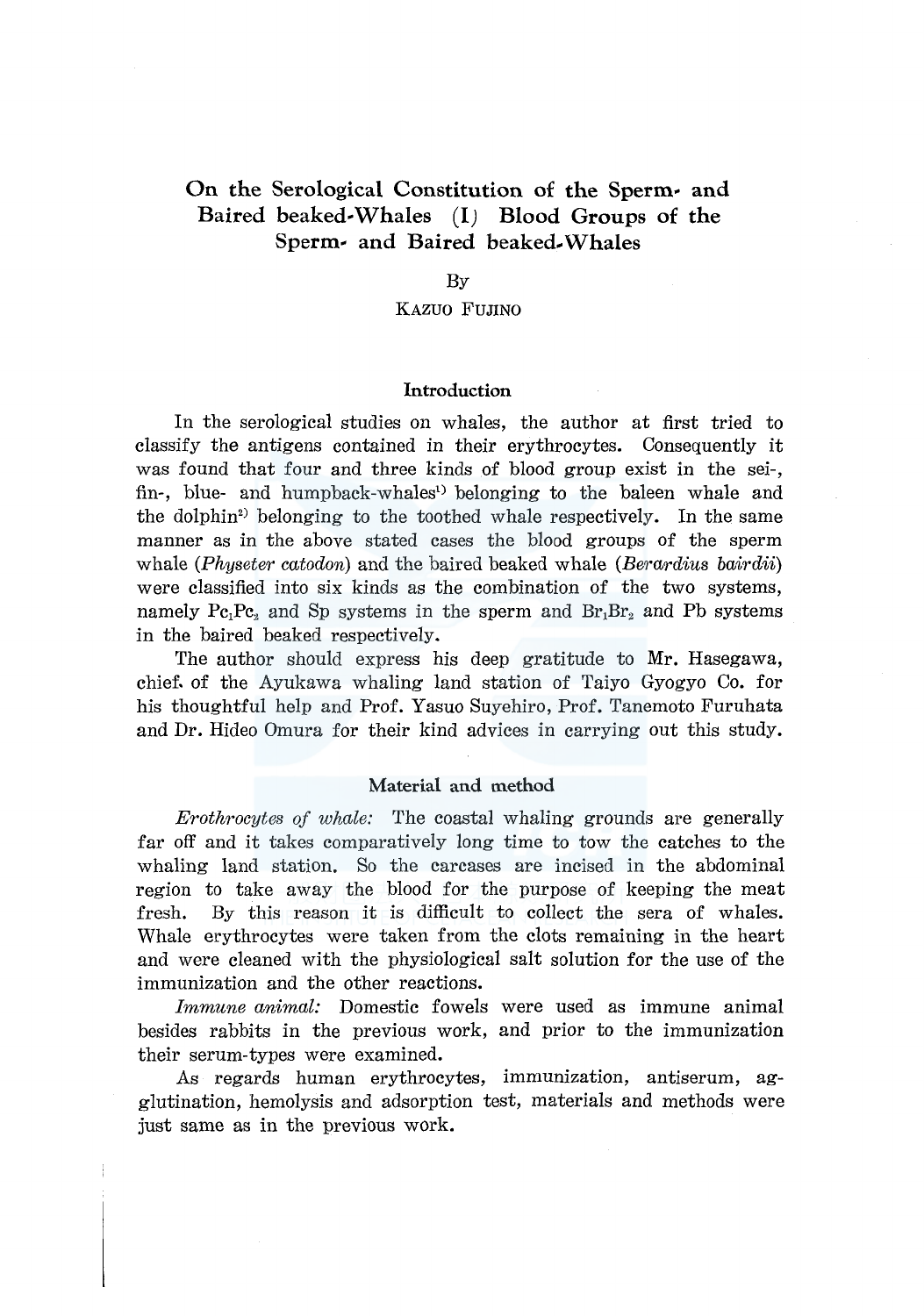# **On the Serological Constitution of the Sperm- and Baired beaked-Whales** *(I)* **Blood Groups of the Sperm-** and Baired beaked Whales

#### By

# KAZUO FUJINO

#### **Introduction**

In the serological studies on whales, the author at first tried to classify the antigens contained in their erythrocytes. Consequently it was found that four and three kinds of blood group exist in the sei-, fin-, blue- and humpback-whales<sup>1</sup> belonging to the baleen whale and the dolphin<sup>2</sup> belonging to the toothed whale respectively. In the same manner as in the above stated cases the blood groups of the sperm whale *(Physeter catodon)* and the haired beaked whale *(Berardius bairdii)*  were classified into six kinds as the combination of the two systems, namely Pc<sub>1</sub>Pc<sub>2</sub> and Sp systems in the sperm and  $Br_1Br_2$  and Pb systems in the haired beaked respectively.

The author should express his deep gratitude to Mr. Hasegawa, chief. of the Ayukawa whaling land station of Taiyo Gyogyo Co. for his thoughtful help and Prof. Yasuo Suyehiro, Prof. Tanemoto Furuhata and Dr. Hideo Omura for their kind advices in carrying out this study.

#### **Material and method**

*Erothrocytes of whale:* The coastal whaling grounds are generally far off and it takes comparatively long time to tow the catches to the whaling land station. So the carcases are incised in the abdominal region to take away the blood for the purpose of keeping the meat fresh. By this reason it is difficult to collect the sera of whales. Whale erythrocytes were taken from the clots remaining in the heart and were cleaned with the physiological salt solution for the use of the immunization and the other reactions.

*Immune animal:* Domestic fowels were used as immune animal besides rabbits in the previous work, and prior to the immunization their serum-types were examined.

As regards human erythrocytes, immunization, antiserum, agglutination, hemolysis and adsorption test, materials and methods were just same as in the previous work.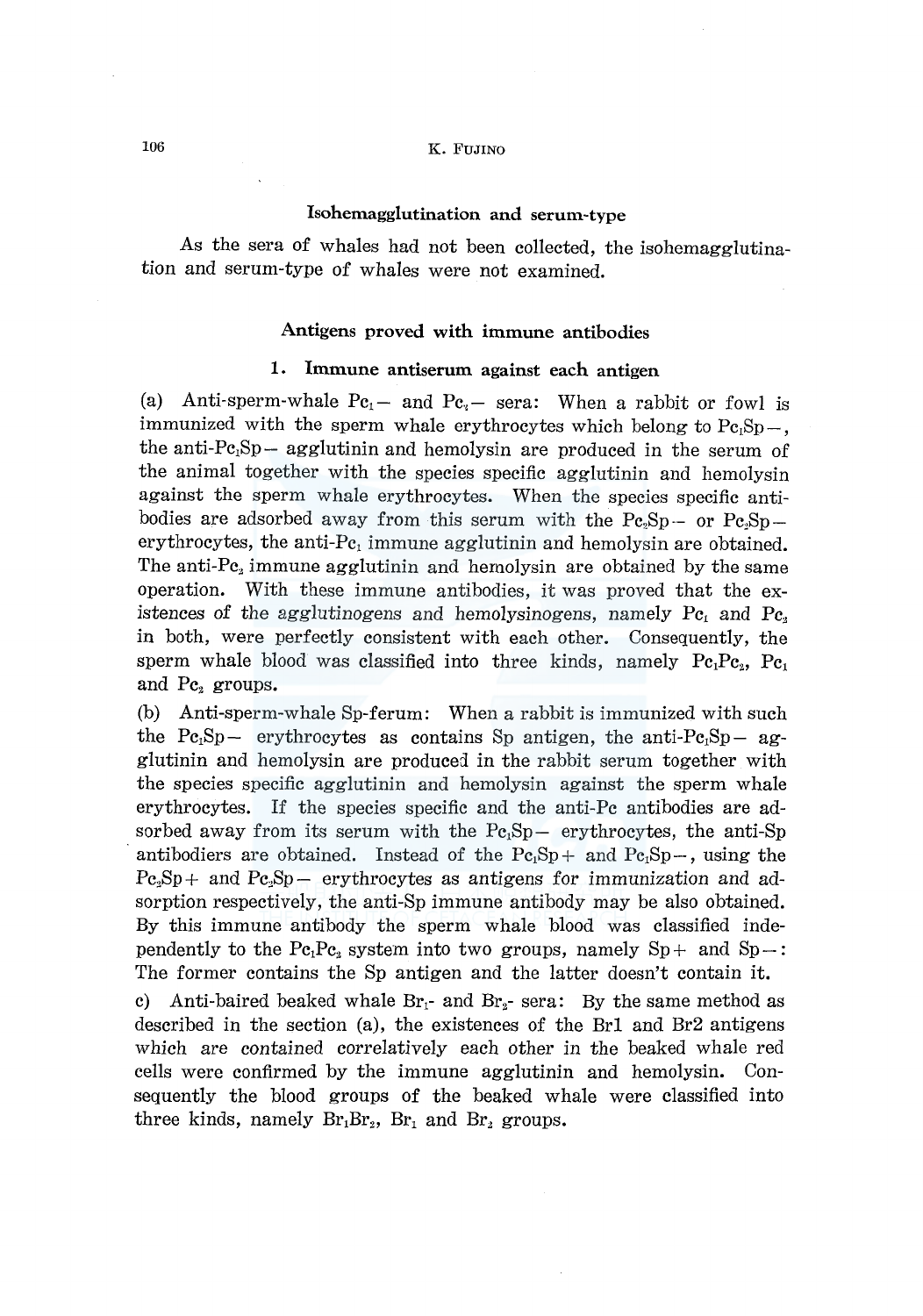## 106 K. FUJINO

# Isohemagglutination and serum-type

As the sera of whales had not been collected, the isohemagglutina*tion* and serum-type of whales were not examined.

## Antigens proved with immune antibodies

#### 1. Immune antiserum against each antigen

(a) Anti-sperm-whale  $Pc_1$ - and  $Pc_2$ - sera: When a rabbit or fowl is immunized with the sperm whale erythrocytes which belong to  $Pe_1Sp-,$ the anti- $Pe<sub>1</sub>Sp - agglutinin$  and hemolysin are produced in the serum of the animal together with the species specific agglutinin and hemolysin against the sperm whale erythrocytes. When the species specific antibodies are adsorbed away from this serum with the  $Pe_2Sp -$  or  $Pe_2Sp$ erythrocytes, the anti- $Pe<sub>1</sub>$  immune agglutinin and hemolysin are obtained. The anti-P $c_2$  immune agglutinin and hemolysin are obtained by the same operation. With these immune antibodies, it was proved that the existences of the agglutinogens and hemolysinogens, namely  $Pc_1$  and  $Pc_2$ in both, were perfectly consistent with each other. Consequently, the sperm whale blood was classified into three kinds, namely  $Pc_1Pc_2$ ,  $Pc_1$ and  $\text{Pc}_2$  groups.

(b) Anti-sperm-whale Sp-ferum: When a rabbit is immunized with such the  $Pe_1Sp-$  erythrocytes as contains Sp antigen, the anti- $Pe_1Sp-$  agglutinin and hemolysin are produced in the rabbit serum together with the species specific agglutinin and hemolysin against the sperm whale erythrocytes. If the species specific and the anti-Pc antibodies are adsorbed away from its serum with the  $Pe<sub>i</sub>Sp$  erythrocytes, the anti-Sp antibodiers are obtained. Instead of the  $Pc_1Sp +$  and  $Pc_1Sp -$ , using the  $Pc_2Sp +$  and  $Pe_2Sp -$  erythrocytes as antigens for immunization and adsorption respectively, the anti-Sp immune antibody may be also obtained. By this immune antibody the sperm whale blood was classified independently to the Pc<sub>1</sub>Pc<sub>2</sub> system into two groups, namely  $Sp+$  and  $Sp-$ : The former contains the Sp antigen and the latter doesn't contain it.

c) Anti-baired beaked whale  $Br_1$ - and  $Br_2$ - sera: By the same method as described in the section (a), the existences of the Brl and Br2 antigens which are contained correlatively each other in the beaked whale red cells were confirmed by the immune agglutinin and hemolysin. Consequently the blood groups of the beaked whale were classified into three kinds, namely  $Br_1Br_2$ ,  $Br_1$  and  $Br_2$  groups.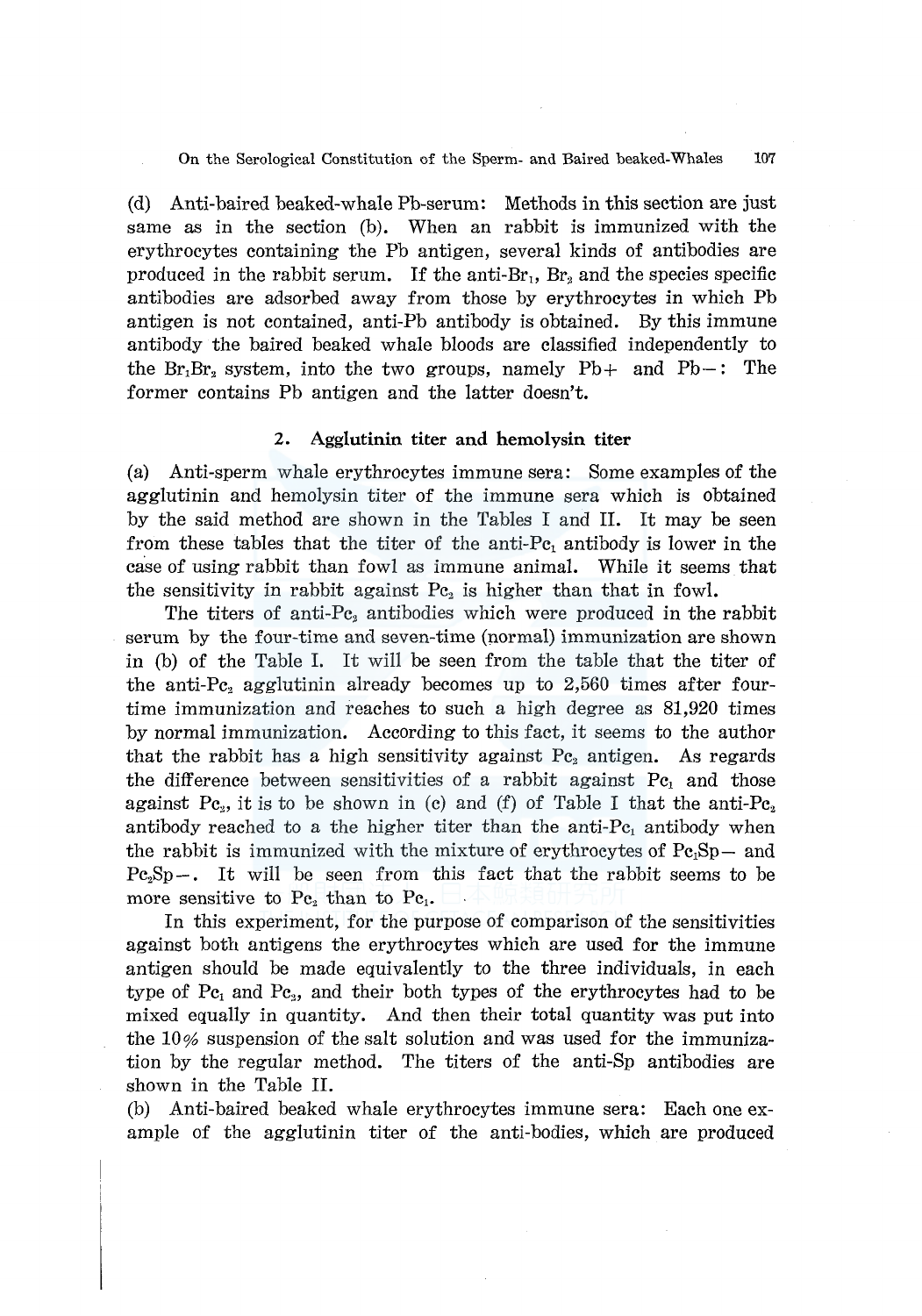On the Serological Constitution of the Sperm- and Baired beaked-Whales 107

(d) Anti-baired beaked-whale Pb-serum: Methods in this section are just same as in the section (b). When an rabbit is immunized with the erythrocytes containing the Pb antigen, several kinds of antibodies are produced in the rabbit serum. If the anti-Br<sub>1</sub>,  $Br_2$  and the species specific antibodies are adsorbed away from those by erythrocytes in which Pb antigen is not contained, anti-Pb antibody is obtained. By this immune antibody the haired beaked whale bloods are classified independently to the  $Br_1Br_2$  system, into the two groups, namely  $Pb+$  and  $Pb-$ : The former contains Pb antigen and the latter doesn't.

#### **2. Agglutinin titer and hemolysin titer**

(a) Anti-sperm whale erythrocytes immune sera: Some examples of the agglutinin and hemolysin titer of the immune sera which is obtained by the said method are shown in the Tables I and II. It may be seen from these tables that the titer of the anti-Pc, antibody is lower in the case of using rabbit than fowl as immune animal. While it seems that the sensitivity in rabbit against  $Pc<sub>2</sub>$  is higher than that in fowl.

The titers of anti-Pc<sub>2</sub> antibodies which were produced in the rabbit serum by the four-time and seven-time (pormal) immunization are shown in (b) of the Table I. It will be seen from the table that the titer of the anti-Pc<sub>2</sub> agglutinin already becomes up to  $2,560$  times after fourtime immunization and reaches to such a high degree as 81,920 times by normal immunization. According to this fact, it seems to the author that the rabbit has a high sensitivity against  $Pc<sub>2</sub>$  antigen. As regards the difference between sensitivities of a rabbit against  $Pe<sub>1</sub>$  and those against Pc<sub>2</sub>, it is to be shown in (c) and (f) of Table I that the anti-Pc<sub>2</sub> antibody reached to a the higher titer than the anti- $Pe<sub>1</sub>$  antibody when the rabbit is immunized with the mixture of erythrocytes of  $Pe<sub>i</sub>Sp-$  and  $Pe<sub>2</sub>Sp-$ . It will be seen from this fact that the rabbit seems to be more sensitive to  $Pe_2$  than to  $Pe_1$ .

In this experiment, for the purpose of comparison of the sensitivities against both antigens the erythrocytes which are used for the immune antigen should be made equivalently to the three individuals, in each type of  $Pe_1$  and  $Pe_2$ , and their both types of the erythrocytes had to be mixed equally in quantity. And then their total quantity was put into the  $10\%$  suspension of the salt solution and was used for the immunization by the regular method. The titers of the anti-Sp antibodies are shown in the Table II.

(b) Anti-haired beaked whale erythrocytes immune sera: Each one example of the agglutinin titer of the anti-bodies, which are produced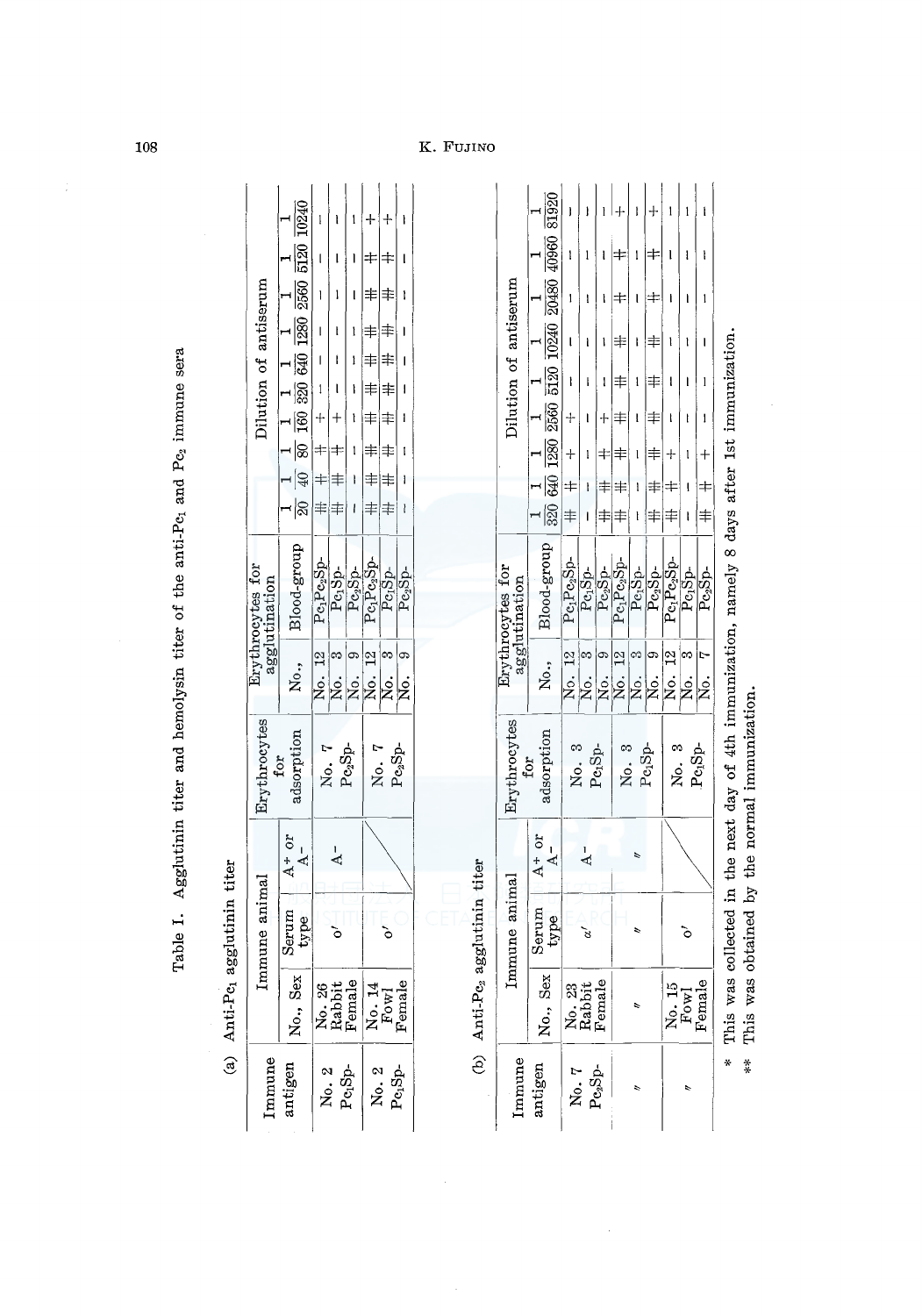|                     |                                  |                                                                                                                                                             | ļ                                   | l                            | l                          |                                    |                                            |          |
|---------------------|----------------------------------|-------------------------------------------------------------------------------------------------------------------------------------------------------------|-------------------------------------|------------------------------|----------------------------|------------------------------------|--------------------------------------------|----------|
|                     |                                  |                                                                                                                                                             | l                                   | l                            | ı                          |                                    |                                            | l        |
|                     |                                  |                                                                                                                                                             | I                                   | ļ                            |                            | ≢                                  |                                            | Ì        |
|                     | Dilution of antiserum            |                                                                                                                                                             | $\mathbf{l}$                        | l                            | l                          |                                    |                                            |          |
|                     |                                  |                                                                                                                                                             |                                     | I                            | I                          | ≢                                  | $\Rightarrow$                              |          |
|                     |                                  |                                                                                                                                                             | $\mathbf{I}$                        |                              | ì                          |                                    | ≢                                          |          |
|                     |                                  |                                                                                                                                                             |                                     |                              | I                          |                                    | ≢                                          | I        |
|                     |                                  |                                                                                                                                                             |                                     |                              | l                          | 丰                                  | ≢                                          | I        |
|                     |                                  |                                                                                                                                                             |                                     |                              |                            | ≢                                  | $\ddagger$                                 |          |
|                     |                                  | $\frac{1}{20}$ $\frac{1}{40}$ $\frac{1}{40}$ $\frac{1}{80}$ $\frac{1}{160}$ $\frac{1}{320}$ $\frac{1}{120}$ $\frac{1}{120}$ $\frac{1}{120}$ $\frac{1}{120}$ | ≢                                   | 丰                            | ı                          |                                    | 丰                                          | ł        |
|                     |                                  |                                                                                                                                                             |                                     |                              |                            |                                    |                                            |          |
|                     | rythrocytes for<br>agglutination | No., Blood-group                                                                                                                                            | Pe <sub>1</sub> Pe <sub>2</sub> Sp- | $Pe_1$ Sp-                   | $\mathrm{Pe}_2\mathrm{So}$ | Pe <sub>r</sub> Pe <sub>2</sub> Sp | $Pe_1S_0$                                  | Pc,Sp    |
|                     |                                  |                                                                                                                                                             | No. 12                              | No. 3                        | No.                        | No. 12                             | No.                                        | No.      |
|                     | Erythrocytes                     | adsorption<br>for                                                                                                                                           | No. 7                               | $\mathrm{Pe}_2\mathrm{Sp}$   |                            |                                    | No. 7                                      | $Pe2Sp-$ |
|                     |                                  | $A^+$ or<br>$A^-$                                                                                                                                           |                                     | ا<br>ط                       |                            |                                    |                                            |          |
|                     |                                  |                                                                                                                                                             |                                     |                              |                            |                                    |                                            |          |
| e, agglutinin titer | Immune animal                    | Serum<br>type                                                                                                                                               |                                     |                              |                            |                                    |                                            |          |
| Anti-P              |                                  | No., Sex                                                                                                                                                    |                                     | No. 26<br>Rabbit<br>Female   |                            |                                    | $\overline{\text{No. 1}}$<br>Fowl<br>Femal | Φ        |
| ම                   | mmune                            | antigen                                                                                                                                                     |                                     | No. 2<br>Pe <sub>1</sub> Sp- |                            |                                    | $N_0$ . 2<br>Persp-                        |          |

Table I. Agglutinin titer and hemolysin titer of the anti-Pc, and Pc, immune sera Table I. Agglutinin titer and hemolysin titer of the anti-Pc<sub>1</sub> and Pc<sub>2</sub> immune sera

(b) Anti-Pe<sub>2</sub> agglutinin titer (b) Anti-P $c_2$  agglutinin titer

|                                   | 81920                                                                                                  |                |                              |            |                       |                              |            |                                     |                             |        |   |
|-----------------------------------|--------------------------------------------------------------------------------------------------------|----------------|------------------------------|------------|-----------------------|------------------------------|------------|-------------------------------------|-----------------------------|--------|---|
|                                   | 09601                                                                                                  | I              | l                            | l          |                       | l                            |            | l                                   |                             |        |   |
|                                   |                                                                                                        | l              | l                            | ł          |                       |                              |            | ı                                   |                             | l      |   |
| Dilution of antiserum             | $\frac{1}{640}$ $\frac{1}{1280}$ $\frac{1}{2560}$ $\frac{1}{5120}$ $\frac{1}{10240}$ $\frac{1}{20480}$ |                |                              |            |                       |                              |            | l                                   |                             |        |   |
|                                   |                                                                                                        | I              |                              | l          | 丰                     | l                            | 丰          | l                                   |                             | l      |   |
|                                   |                                                                                                        | $\ddot{\tau}$  |                              | ╇          |                       |                              | ≢          |                                     |                             | l      |   |
|                                   |                                                                                                        |                | l                            |            |                       |                              |            |                                     |                             |        |   |
|                                   |                                                                                                        | $\pm$          |                              |            | 丰                     | l                            |            |                                     |                             |        |   |
|                                   | 320                                                                                                    | 丰              |                              |            |                       |                              |            |                                     |                             |        |   |
| Erythrocytes for<br>agglutination | Blood-group                                                                                            | $Pe_1Pe_2Sp$ - | $Pe_1S_0$ -                  | $Pe_2$ Sp- | Pe <sub>r</sub> Pesso | $Pe_1S_0$ -                  | $Pe_2Sp$ - | Pe <sub>r</sub> Pe <sub>r</sub> Sp- | Pe <sub>p</sub> Sp          | Pesb-  |   |
|                                   | No.,                                                                                                   | No. 12         | No. 3                        | Χo.        | No. 12                | no.<br>No.<br>No.            |            | No. 12                              | No.                         | .<br>Ż |   |
| Erythrocytes                      | adsorption<br>for                                                                                      |                | No. 3<br>Pe <sub>1</sub> Sp- |            |                       | No. 3<br>Po <sub>n</sub> Sp- |            |                                     | No. 3<br>Pe <sub>n</sub> Sp |        |   |
|                                   | $A+or$<br>$A^{-}$                                                                                      |                |                              |            |                       |                              |            |                                     |                             |        |   |
| Immune animal                     | Serum<br>type                                                                                          |                |                              |            |                       |                              |            |                                     |                             |        |   |
|                                   | No., Sex                                                                                               |                | No. 23<br>Rabbit<br>Female   |            |                       |                              |            |                                     | No. 15<br>Fowl<br>Femak     | Φ      | i |
| Immune                            | antigen                                                                                                |                | No. 7<br>Pesp-               |            |                       |                              |            |                                     |                             |        |   |

 $\bar{z}$ 

\* This was collected in the next day of 4th immunization, namely 8 days after 1st immunization.<br>\*\* This was obtained by the normal immunization. \* This was collected in the next day of 4th immunization, namely 8 days after lst immunization. \*\* This was obtained by the normal immunization.  $*^*$ 

K. Fujino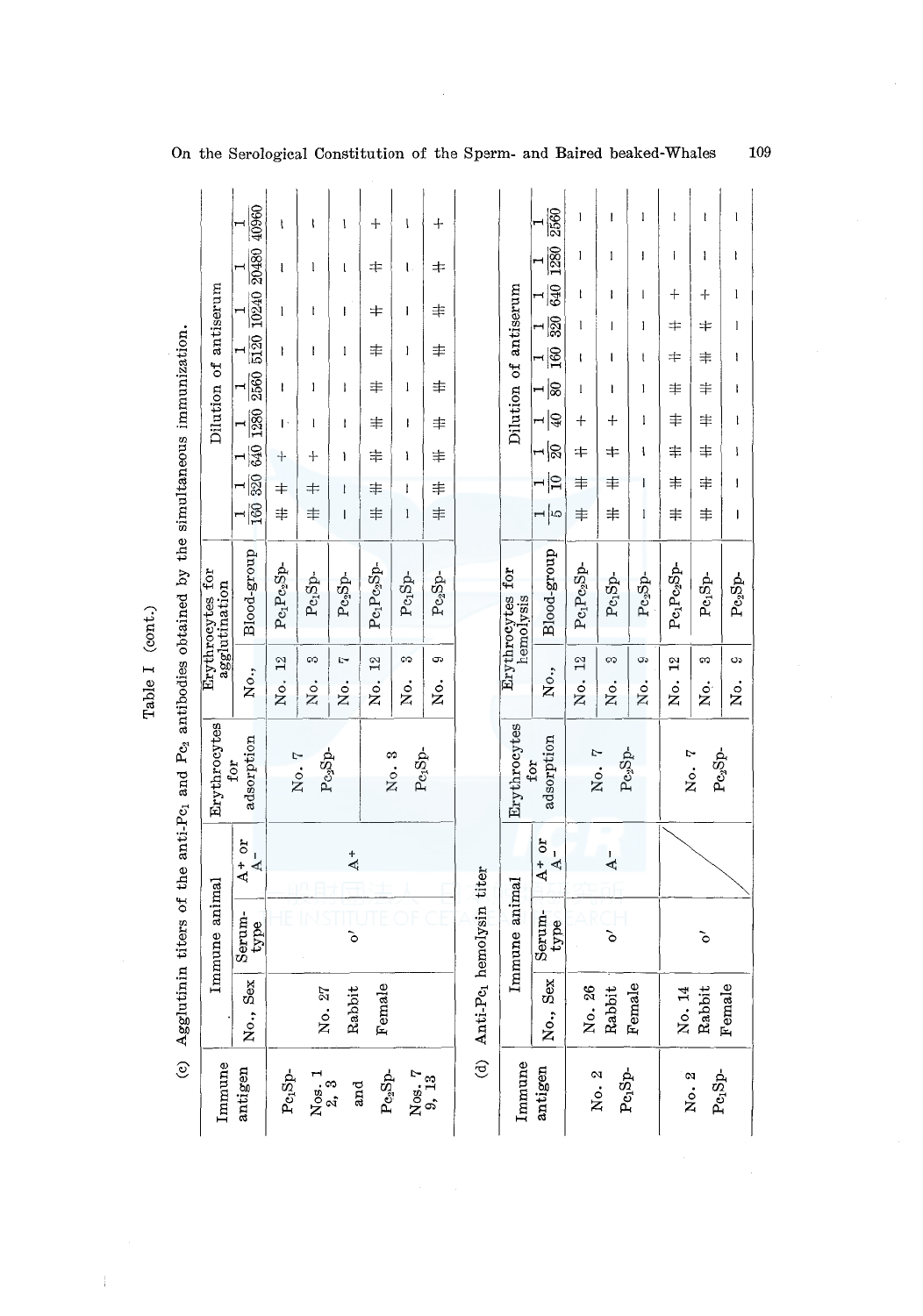|                                                                                                         |                                      |                                              |                          |                                     |            |                |                    |                  | On the Serological Constitution of the Sperm- and Baired beaked-Whales |                               |                    |                |                     |              |                                     |                                     | 109               |  |
|---------------------------------------------------------------------------------------------------------|--------------------------------------|----------------------------------------------|--------------------------|-------------------------------------|------------|----------------|--------------------|------------------|------------------------------------------------------------------------|-------------------------------|--------------------|----------------|---------------------|--------------|-------------------------------------|-------------------------------------|-------------------|--|
|                                                                                                         |                                      | 40960                                        | ţ                        | ł                                   | l          | ┿              | I                  | $\div$           |                                                                        |                               | 2560               | 1              | I                   | 1            |                                     |                                     | $\mathsf{l}$      |  |
|                                                                                                         |                                      | 20480                                        | ŧ                        | 1                                   | l          | ≠              | t                  | 丰                |                                                                        |                               | 1280               | l              | 1                   | I            | ı                                   | $\mathbf{I}$                        | ł                 |  |
|                                                                                                         |                                      | 10240                                        | 1                        | t                                   | I          | 丰              | I                  | 丰                |                                                                        |                               | 640                | ł              | I                   | $\mathsf{l}$ | ┿                                   | $\div$                              | $\mathbf{l}$      |  |
|                                                                                                         | Dilution of antiserum                | 5120                                         |                          |                                     |            |                |                    |                  |                                                                        | Dilution of antiserum         | R                  | $\mathsf{l}$   | J                   | I            | ≠                                   | ≠                                   | 1                 |  |
|                                                                                                         |                                      | $\mathbf{\mathbf{H}}$                        | ł                        | ł                                   | 1          | 丰              | I                  | 丰                |                                                                        |                               | 160<br>$\mathbf -$ | ł              | ı                   | t            | ≠                                   | 丰                                   | ł                 |  |
|                                                                                                         |                                      | $\frac{1}{250}$                              | I                        | 1                                   | I          | 丰              | 1                  | 丰                |                                                                        |                               | ⊣ ଛ                | 1              | I                   | 1            | 丰                                   | 丰                                   | ł                 |  |
|                                                                                                         |                                      |                                              | Ŀ                        | 1                                   | ı          | 丰              | I                  | 丰                |                                                                        |                               | ∣Ձ<br>Н<br>∺¦≋     | $\ddag$<br>#   | $\div$<br>⇆         | l<br>ł       | 丰<br>丰                              | 丰<br>丰                              | $\mathbf{I}$<br>ł |  |
|                                                                                                         |                                      | $\frac{1}{320} \frac{1}{640} \frac{1}{1280}$ | $\div$                   | ┿                                   | ١          | 丰              | ł.                 | 丰                |                                                                        |                               | ∣ุ≘                | 丰              | 丰                   | I            | 丰                                   | 丰                                   | I                 |  |
|                                                                                                         |                                      | $\frac{1}{100}$                              | $\ddagger$<br>$\ddagger$ | $\pm$<br>丰                          | ł<br>1     | 丰<br>丰         | Ţ<br>$\mathbf{I}$  | 丰<br>丰           |                                                                        |                               | ⊣∣ഥ                | 丰              | 丰                   | $\mathbf{1}$ | 丰                                   | 丰                                   | I                 |  |
|                                                                                                         |                                      |                                              |                          |                                     |            |                |                    |                  |                                                                        |                               |                    |                |                     |              |                                     |                                     |                   |  |
|                                                                                                         | for<br>agglutination<br>Erythrocytes | Blood-group                                  | $Pe_1Pc_2Sp$             | $\mathrm{Pe}_1\mathrm{Sp}$          | $Pe_2Sp$ - | $Pe_1Pe_2Sp$ - | $Pe_1Sp$ -         | $Pe_2Sp-$        |                                                                        | Erythrocytes for<br>hemolysis | Blood-group        | $Pe_1Pe_2Sp$ - | $Pe_1Sp$ -          | $Pe_2Sp-$    | Pe <sub>l</sub> Pe <sub>2</sub> Sp- | Pe <sub>1</sub> Sp-                 | $Pe_2Sp$ -        |  |
|                                                                                                         |                                      |                                              | $\frac{2}{3}$            | S                                   | Ņ          | $\frac{2}{1}$  | S                  | တ                |                                                                        |                               |                    | $\frac{2}{1}$  | က                   | 9            | $\frac{2}{1}$                       | S                                   | c                 |  |
|                                                                                                         |                                      | No.,                                         | Ńo.                      | ż.                                  | No.        | Йo.            | ż.                 | ż                |                                                                        |                               | No.,               | ż.             | Χo.                 | ż.           | ġ.                                  | ż.                                  | , š               |  |
| Agglutinin titers of the anti-P $c_1$ and P $c_2$ antibodies obtained by the simultaneous immunization. | Erythrocytes                         | adsorption<br>for                            |                          | $\mathrm{Pc}_2\mathrm{Sp}$<br>No. 7 |            |                | $Pe1Sp$ -<br>No. 3 |                  |                                                                        | Erythrocytes                  | adsorption<br>for  |                | $Pe_2Sp$ -<br>No. 7 |              |                                     | $Pe_3Sp-$<br>No. 7                  |                   |  |
|                                                                                                         |                                      | $A + or$<br>$A -$                            |                          |                                     | $\Delta^+$ |                |                    |                  |                                                                        |                               | $A+or$<br>$\Delta$ |                | $\overline{A}$      |              |                                     |                                     |                   |  |
|                                                                                                         | Immune animal                        | $\frac{\text{Serum}}{\text{type}}$           |                          |                                     | ১          |                |                    |                  |                                                                        | Immune animal                 | Serum-<br>type     |                | ১                   |              |                                     | $\delta$                            |                   |  |
|                                                                                                         |                                      | No., Sex                                     |                          | No. 27                              | Rabbit     | Female         |                    |                  | (d) Anti-Pc1 hemolysin titer                                           |                               | Sex<br>Χo.,        | No. 26         | Rabbit              | Female       | No. 14                              | Rabbit                              | Female            |  |
| $\widehat{\mathbf{e}}$                                                                                  | Immune                               | antigen                                      | $PeiSp-$                 | $N_{05.}$ 1<br>$2.3$                | and        | $Pe_2Sp-$      |                    | $N_{0S.7}$ $T_3$ |                                                                        | Immune                        | antigen            |                | $Pe1Sp-$<br>No. 2   |              |                                     | $\mathrm{Pe}_1\mathrm{Sp}$<br>No. 2 |                   |  |

Table I (cont.) Table I (cont.)

 $\bar{\beta}$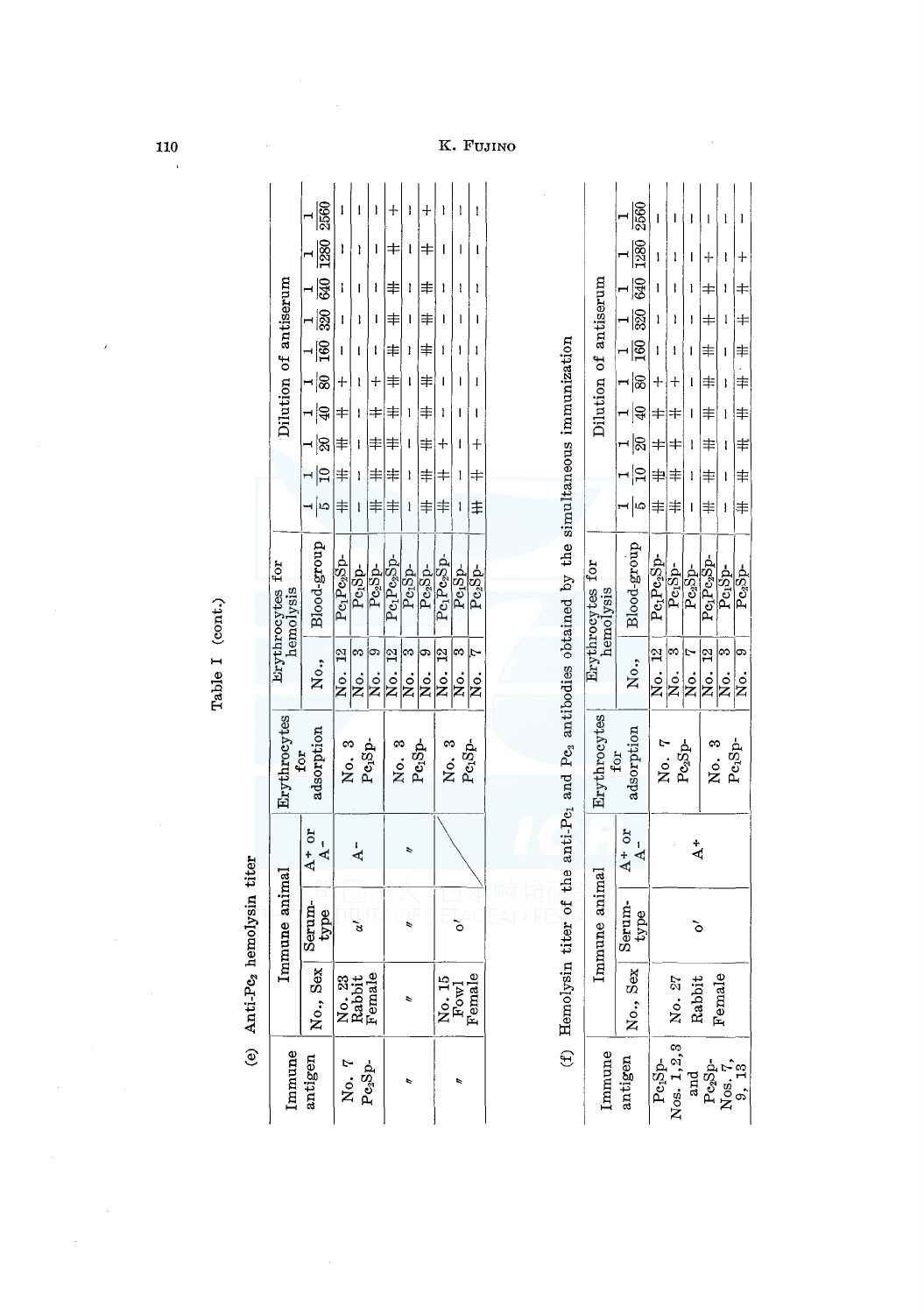|                                                                       | (e) Anti-Pe <sub>2</sub> hemolysin titer |                |                            |                                                                                                          |                      |                               |              |                          |                  |                          |                                    |                 |       |           |      |  |
|-----------------------------------------------------------------------|------------------------------------------|----------------|----------------------------|----------------------------------------------------------------------------------------------------------|----------------------|-------------------------------|--------------|--------------------------|------------------|--------------------------|------------------------------------|-----------------|-------|-----------|------|--|
| Immune                                                                |                                          | Immune animal  |                            | Erythrocytes                                                                                             |                      | Erythrocytes for<br>hemolysis |              |                          |                  |                          | Dilution of antiserum              |                 |       |           |      |  |
| antigen                                                               | No., Sex                                 | Serum-<br>type | $A+or$<br>$A -$            | adsorption<br>for                                                                                        | No.,                 | Blood-group                   | ⊣∣∞          | $\Xi$                    | ⊣∣ଛ              | ন¦≆                      | ⊣ ଞି<br>−∣ଛ                        | $\frac{1}{320}$ | 540   | 1280      | 2560 |  |
| No. 7                                                                 |                                          |                |                            | No.3                                                                                                     | $^{22}$<br>No.       | $Pe_1Pe_2Sp$ -                | 丰            | ╪                        | ≢                | ╪                        | $\ddag$                            |                 | ì     |           |      |  |
|                                                                       | No. 23<br>Rabbit<br>Female               | é              | $\frac{1}{4}$              |                                                                                                          | ∞<br> s.             | Pe <sub>i</sub> Sp-           | ł            | ı                        | ł                | I                        |                                    |                 |       | ł         |      |  |
| $Pe_3$ Sp-                                                            |                                          |                |                            | Pe <sub>i</sub> Sp.                                                                                      | $\sigma$<br>Χo.      | $Pe_2Sp-$                     | ≢            | ≢                        | ≢                | $\ddagger$               | ł<br>$\pmb{+}$                     | I               | ł     | ı         | I    |  |
|                                                                       |                                          |                |                            | No. 3                                                                                                    | $^{12}$<br>No.       | $Pe_1Pe_2Sp-$                 | 丰            | 丰                        | 丰                | ≢                        | ≢<br>丰                             | 丰               | 丰     | ╪         |      |  |
| r                                                                     | $\overline{\phantom{a}}$                 |                | r                          |                                                                                                          | m<br>.<br>Z          | Pe <sub>1</sub> Sp-           | ł            | I                        | ı                | 1                        | I<br>ı                             | I               | ı     | ł         | ı    |  |
|                                                                       |                                          |                |                            | $_{\mathrm{Pe}_1\mathrm{Sp}}$                                                                            | ග,<br>.<br>Ž         | $Pe_2Sp-$                     | 丰            | ≢                        | ≢                | ≢                        | $\ddagger$<br>丰                    | ≢               | ≢     | ╪         |      |  |
|                                                                       | LQ.                                      |                |                            | No. 3                                                                                                    | $\frac{2}{3}$<br>No. | $Pe_1Pe_2Sp$ -                | 丰            | ╪                        | $\ddag$          | ł                        | ł                                  |                 | ı     | I         |      |  |
| É                                                                     | $\frac{N_{0}}{F_{cond}}$                 | ò              |                            |                                                                                                          | $\infty$<br>No.      | Pe <sub>1</sub> Sp-           | $\mathbf{I}$ | $\mathbf{I}$             | I                | I                        | ł<br>J                             |                 | ł     | I         |      |  |
|                                                                       | $\overline{6}$                           |                |                            | Pe <sub>1</sub> Sp-                                                                                      | Ą<br>No.             | $Pe_2Sp$ -                    | $\ddagger$   | $\pm$                    | $\boldsymbol{+}$ | ı                        | ı<br>ł                             |                 | ł     | ı         |      |  |
|                                                                       |                                          |                |                            |                                                                                                          |                      |                               |              |                          |                  |                          |                                    |                 |       |           |      |  |
|                                                                       |                                          |                |                            | (f) Hemolysin titer of the anti-P $c_1$ and P $c_2$ antibodies obtained by the simultaneous immunization |                      |                               |              |                          |                  |                          |                                    |                 |       |           |      |  |
| Immune                                                                |                                          | Immune animal  |                            | Erythrocytes<br>for                                                                                      |                      | Erythrocytes for<br>hemolysis |              |                          |                  |                          | Dilution of antiserum              |                 |       |           |      |  |
| antigen                                                               | No., Sex                                 | Serum-<br>type | $A + or$<br>$\overline{A}$ | adsorption                                                                                               | No.,                 | Blood-group                   | പ ശ          | $\vert \mathbf{Q} \vert$ | ଛ                | $\overline{\mathcal{L}}$ | $\frac{1}{100}$<br>$\overline{80}$ | $\mathbb{R}$    | 340   | 1280      | 2560 |  |
| $Pe_1Sp-$                                                             |                                          |                |                            | No. 7                                                                                                    | No. 12               | $Pe_1Pe_2Sp$ -                | 丰            | 丰                        | ╪∣               | ╪                        | ┽                                  | ł               |       |           |      |  |
| Nos. 1,2,3                                                            | No. 27                                   |                |                            | $\mathrm{Pc}_2\mathrm{Sp}$                                                                               | $\infty$<br>s<br>R   | Pe <sub>r</sub> Sp-           | 丰            | 丰                        | ╪                | ╪                        | ł<br>┿                             | ı               | ł     | ł         |      |  |
| and                                                                   | Rabbit                                   | ò              | $\ddot{A}$                 |                                                                                                          | Ņ<br>No.             | $Pe_2Sp$ -                    | $\mathbf{I}$ | 1                        | 1                | I                        | ı<br>ı                             | I               | I     | ı         |      |  |
| $\begin{array}{c} \text{Posp.} \\ \text{Nos.} \\ 9, \ 13 \end{array}$ |                                          |                |                            | No. 3                                                                                                    | 12<br>Χo.            | $Pe_1Pe_2Sp$ -                | 丰            | 丰                        | 丰                | 丰                        | 丰<br>丰                             | 丰               | ╪     | ┿         |      |  |
|                                                                       | $\mathbf{Q}$<br>Femal                    |                |                            | $\mbox{Pe}_1 \mbox{Sp-}$                                                                                 | ဢ<br>No.             | Pc <sub>1</sub> Sp-           | $\mathbf{I}$ | ł                        | $\mathbf{I}$     | $\mathbf{I}$             | ı<br>Ì                             | 1               | ł     | ł         |      |  |
|                                                                       |                                          |                |                            |                                                                                                          | ဓာ<br>s<br>Ro        | $Pc_3Sp$ -                    | 丰            | 丰                        | $\ddagger$       | 丰                        | 丰<br>.<br>丰                        | $\pm$           | $\pm$ | $\, + \,$ | ł    |  |

N o:-9-I Pc2Sp- \* -ltt -IH: -ltt -ltt -ltt \* \* + -

Table I (cont.) Table I (cont.)

.<br>Fujino

 $\hat{\boldsymbol{\beta}}$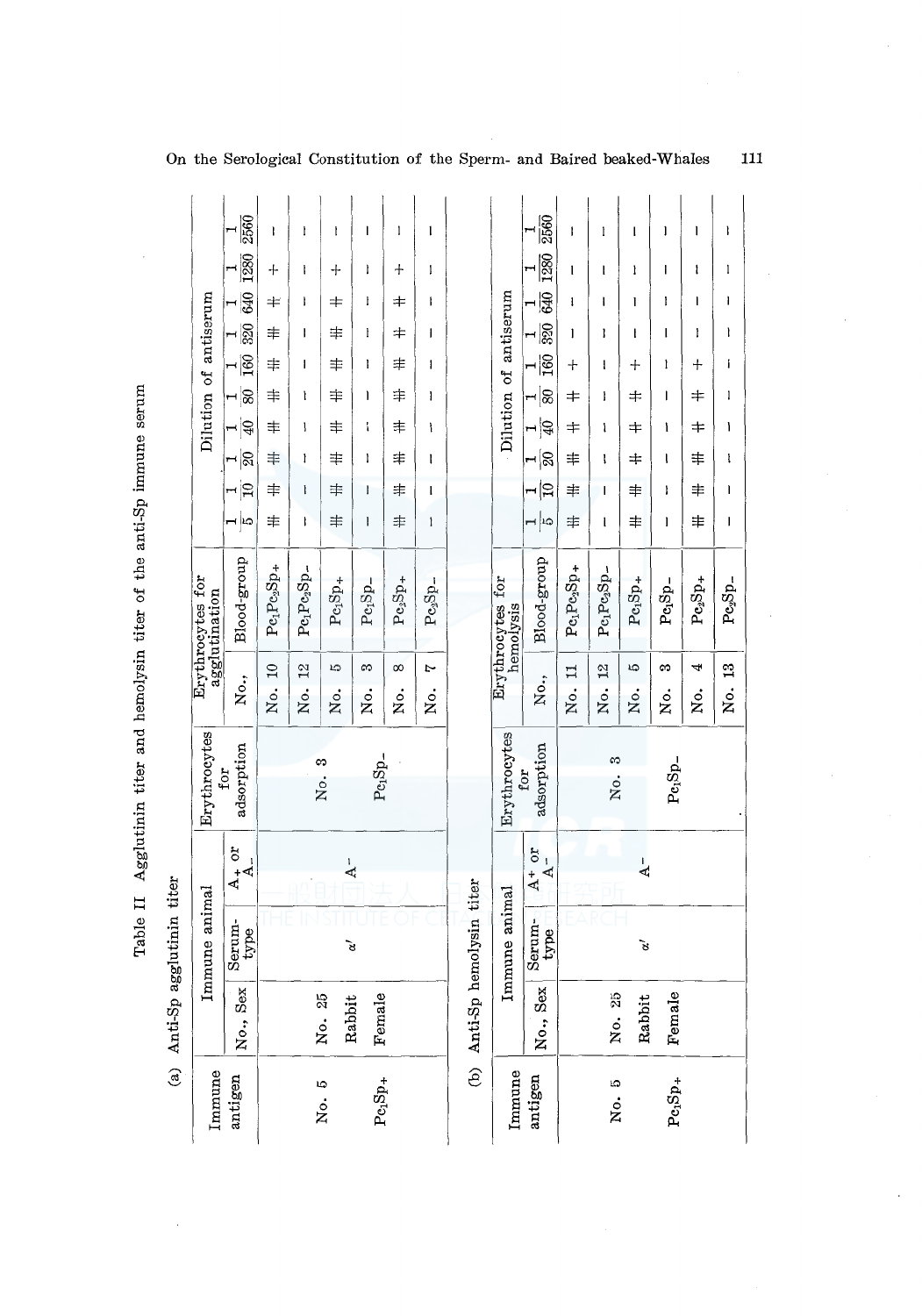|                              |                                   |                                                        |                |                      |                              |          |                |                              | On the Serological Constitution of the Sperm- and Baired beaked-Whales |                               |                                                          |                                   |                      |                |                   |              |           |
|------------------------------|-----------------------------------|--------------------------------------------------------|----------------|----------------------|------------------------------|----------|----------------|------------------------------|------------------------------------------------------------------------|-------------------------------|----------------------------------------------------------|-----------------------------------|----------------------|----------------|-------------------|--------------|-----------|
|                              |                                   | 2560                                                   | ł              | ł                    | ł                            |          | 1              | ı                            |                                                                        |                               | 2560                                                     | J                                 | l                    | ı              | I                 | ı            |           |
|                              |                                   | 1280                                                   | $\ddot{}$      | ł                    | ┿                            | Ì        | $\hbox{+}$     | 1                            |                                                                        |                               | 1280                                                     | $\mathbf{I}$                      | I                    | ł              | ı                 | ł            |           |
|                              |                                   | 640                                                    | $\,{}^+$       | ł                    | ≠                            | ŀ        | ≠              | I                            |                                                                        |                               | 640                                                      | ı                                 | I                    | ı              | I                 | I            |           |
|                              | Dilution of antiserum             | 320<br>$\mathbf{\mathbf{H}}$                           | 丰              | $\mathbf{I}$         | 丰                            | ł        | 丰              | I                            |                                                                        | Dilution of antiserum         | $\overline{\mathbb{S}}$                                  | I                                 | I                    | ł              | ı                 | ı            |           |
|                              |                                   | $\overline{160}$                                       | $\ddagger$     | I                    | 丰                            | I        | 丰              | $\mathbf{I}$                 |                                                                        |                               | $\overline{160}$                                         | $\hspace{0.1mm} + \hspace{0.1mm}$ | ł                    | $\mathrm{+}$   | I                 | $\mathrm{+}$ |           |
|                              |                                   | ⊣ ଛ                                                    | $\ddagger$     | ì                    | 丰                            | I        | 丰              | ı                            |                                                                        |                               | န္တ<br>H                                                 | $\pm$                             | I                    | $\pm$          | I                 | $\,{}^+$     |           |
|                              |                                   | $\frac{1}{4}$                                          | 丰              | I                    | 丰                            | ì        | 丰              | ١                            |                                                                        |                               | $\frac{1}{4}$                                            | $\,\,\pm$                         | ١                    | ≠              | ١                 | ≠            |           |
|                              |                                   | ∣ଇ                                                     | ≢              | ł                    | 丰                            | I        | $\ddagger$     | l                            |                                                                        |                               | ⊣'≋                                                      | 丰                                 | l                    | $\,{}^+$       | ţ                 | 丰            |           |
|                              |                                   | $\vert \Xi$                                            | 丰              | I                    | 丰                            | L        | ≢              | l                            |                                                                        |                               | ⊶∣≘                                                      | 丰                                 | I                    | 丰              | ı                 | 丰            |           |
|                              |                                   | ⊣∣ഥ                                                    | 丰              | ł                    | $\ddagger$                   | ı        | 丰              | $\pmb{\downarrow}$           |                                                                        |                               | $ \sim$                                                  | 丰                                 | ı                    | 丰              | ı                 | ≢            |           |
|                              | Erythrocytes for<br>agglutination | Blood-group                                            | $Pe_1Pe_2Sp +$ | $Pe_1Pe_2Sp-$        | $\mathrm{Pe}_1\mathrm{Sp}_+$ | $PeiSp-$ | $Pe_2Sp+$      | $\mathrm{Pe}_3\mathrm{Sp}_-$ |                                                                        | Erythrocytes for<br>hemolysis | Blood-group                                              | $Pe_1Pe_2Sp +$                    | $Pe_1Pe_2Sp-$        | $Pe1Sp+$       | $Pe1Sp-$          | $Pe_2Sp_+$   | Do Sh     |
|                              |                                   | No.,                                                   | $\Xi$<br>No.   | $\frac{2}{3}$<br>Χo. | LQ.<br>No.                   | œ<br>й.  | $\infty$<br>ż. | Ņ<br>ż.                      |                                                                        |                               | No.,                                                     | $\Xi$<br>No.                      | 2 <sup>2</sup><br>ġ. | ట<br>Хo.       | S<br>ż.           | 4<br>ż.      | °,<br>χř, |
|                              | Erythrocytes                      | adsorption<br>for                                      |                |                      | $\infty$<br>No.              | $Pe1Sp-$ |                |                              |                                                                        | Erythrocytes                  | adsorption<br>for                                        |                                   | က<br>No.             |                | $_{\rm Pe_1Sp_-}$ |              |           |
|                              |                                   | $\frac{A_+}{A_-}$                                      |                |                      | $\frac{1}{\Delta}$           |          |                |                              |                                                                        |                               | $A^+$ or<br>$\mathfrak l$<br>∢                           |                                   |                      | $\overline{A}$ |                   |              |           |
|                              | Immune animal                     | $\begin{array}{c} \rm{Serum}\text{-}{\end{array}$ type |                |                      |                              | જે       |                |                              |                                                                        | Immune animal                 | $\begin{array}{c}\text{Serum-}\\ \text{type}\end{array}$ |                                   |                      | ১              |                   |              |           |
| (a) Anti-Sp agglutinin titer |                                   | No., Sex                                               |                |                      | No. 25<br>Rabbit             | Female   |                |                              | (b) Anti-Sp hemolysin titer                                            |                               | No., Sex                                                 |                                   | No. 25               | Rabbit         | Female            |              |           |
|                              | Immune                            | antigen                                                |                |                      | No. 5                        | $Pe1Sp+$ |                |                              |                                                                        | Immune                        | antigen                                                  |                                   | No. 5                |                | $PeiSp+$          |              |           |

Table II Agglutinin titer and hemolysin titer of the anti-Sp immune serum Table II Agglutinin titer and hemolysin titer of the anti-Sp immune serum

11

 $\bar{1}$ 

 $\bar{1}$ 

 $\mathbf{l}$ 

 $\mathbf{l}$ 

 $\mathbf{i}$ 

 $\mathbf{1}$ 

 $\mathbf{I}$ 

 $\mathfrak t$ 

 $\mathbf{l}$ 

 $\mathbf{I}$ 

 $\mathtt{Pe}_2 \mathtt{Sp}_-$ 

 $\mathbf{12}$ 

No.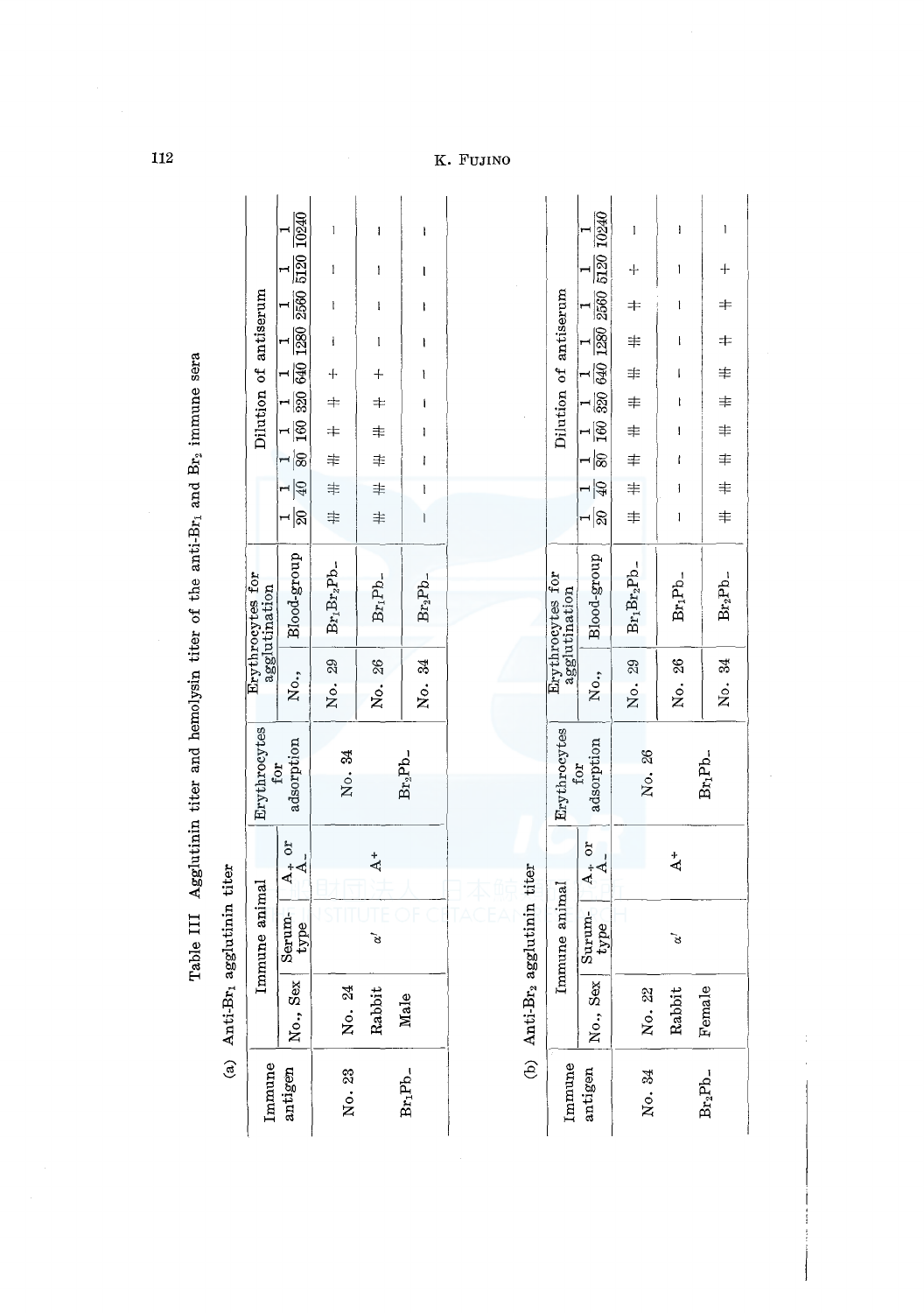| ļ            |
|--------------|
|              |
|              |
|              |
|              |
|              |
| į            |
| $-1.4 - 2.4$ |
| į<br>l       |
| ļ<br>!<br>ו  |

|                     | (a) $Anti-Br_1$        | agglutinin titer |                               |                              |        |                                   |               |              |   |           |        |              |                       |   |   |  |
|---------------------|------------------------|------------------|-------------------------------|------------------------------|--------|-----------------------------------|---------------|--------------|---|-----------|--------|--------------|-----------------------|---|---|--|
| Immune              |                        | Immune animal    |                               | Erythrocytes                 |        | Erythrocytes for<br>agglutination |               |              |   |           |        |              | Dilution of antiserum |   |   |  |
| antigen             | No., Sex               | Serum-<br>type   | $\frac{A_+ \text{ or }}{A_-}$ | adsorption<br>for            |        | No., Blood-group                  |               |              |   |           |        |              |                       |   |   |  |
| No. 23              | No. 24                 |                  |                               | No. 34                       | No. 29 | $Br_1Br_2Pb$ -                    | $\frac{1}{2}$ |              |   | 十 丰 丰 圭 丰 |        | j            |                       | l | l |  |
|                     | Rabbit                 | š                | $\Delta^+$                    |                              | No. 26 | $Br_1Pb$ -                        | $\ddagger$    |              |   | 十 丰 丰 丰 丰 |        | $\mathbf{I}$ | $\mathbf l$           | I | I |  |
| Br <sub>1</sub> Pb_ | Male                   |                  |                               | $Br_2Pb$ -                   | No. 34 | Br <sub>2</sub> Pb_               | l             | $\mathbf{l}$ | ł | l         | l<br>I | I            | I                     | l | I |  |
|                     |                        |                  |                               |                              |        |                                   |               |              |   |           |        |              |                       |   |   |  |
|                     | (b) $\text{Anti-Br}_2$ | agglutinin titer |                               |                              |        |                                   |               |              |   |           |        |              |                       |   |   |  |
| Immune              |                        | Immune animal    |                               | Erythrocytes<br>$f_{\Omega}$ |        | Erythrocytes for<br>agglutination |               |              |   |           |        |              | Dilution of antiserum |   |   |  |

|                                  | $\sqrt[3]{\frac{1}{5120}}$ $\frac{1}{10240}$                                                                             | l                                          | I              | 1              |
|----------------------------------|--------------------------------------------------------------------------------------------------------------------------|--------------------------------------------|----------------|----------------|
|                                  |                                                                                                                          | $+$                                        | I              | $\ddagger$     |
|                                  | $\begin{array}{cccccc} 1 & 1 & 1 & 1 & 1 & 1 & 1 & 1 \\ \hline 20 & 40 & 80 & 160 & 320 & 640 & 1280 & 2560 \end{array}$ |                                            | l              | $+$<br>$+$     |
| Dilution of antiserum            |                                                                                                                          | 丰<br>丰                                     | l              |                |
|                                  |                                                                                                                          |                                            | ĺ              |                |
|                                  |                                                                                                                          |                                            | ţ              |                |
|                                  |                                                                                                                          |                                            | I              |                |
|                                  |                                                                                                                          |                                            | ľ              |                |
|                                  |                                                                                                                          | 幸 幸 幸 幸 幸 幸                                | j              | 丰丰丰丰丰丰丰        |
|                                  |                                                                                                                          |                                            | l              |                |
| Erythrocytes for<br>gglutination | No., Blood-group                                                                                                         | No. 29 Br <sub>1</sub> Br <sub>2</sub> Pb_ | $\rm Br_1Pb_-$ | $\rm Br_2Pb_-$ |
|                                  |                                                                                                                          |                                            | No. 26         | No. 34         |
| Erythrocytes                     | adsorption<br>for                                                                                                        | No. 26                                     |                | $Br_1Pb-$      |
|                                  |                                                                                                                          |                                            | $\ddot{4}$     |                |
| Immune animal                    | $\begin{array}{c c}\n\text{Surum} & A_+ \text{ or} \\ \text{type} & A_- \n\end{array}$                                   |                                            | રિ             |                |
|                                  | No., Sex                                                                                                                 | No. 22                                     | Rabbi          | Femal          |
| Immune                           | antigen                                                                                                                  | No. 34                                     |                | $Br_2Pb$ -     |

 $112$ 

. Fujino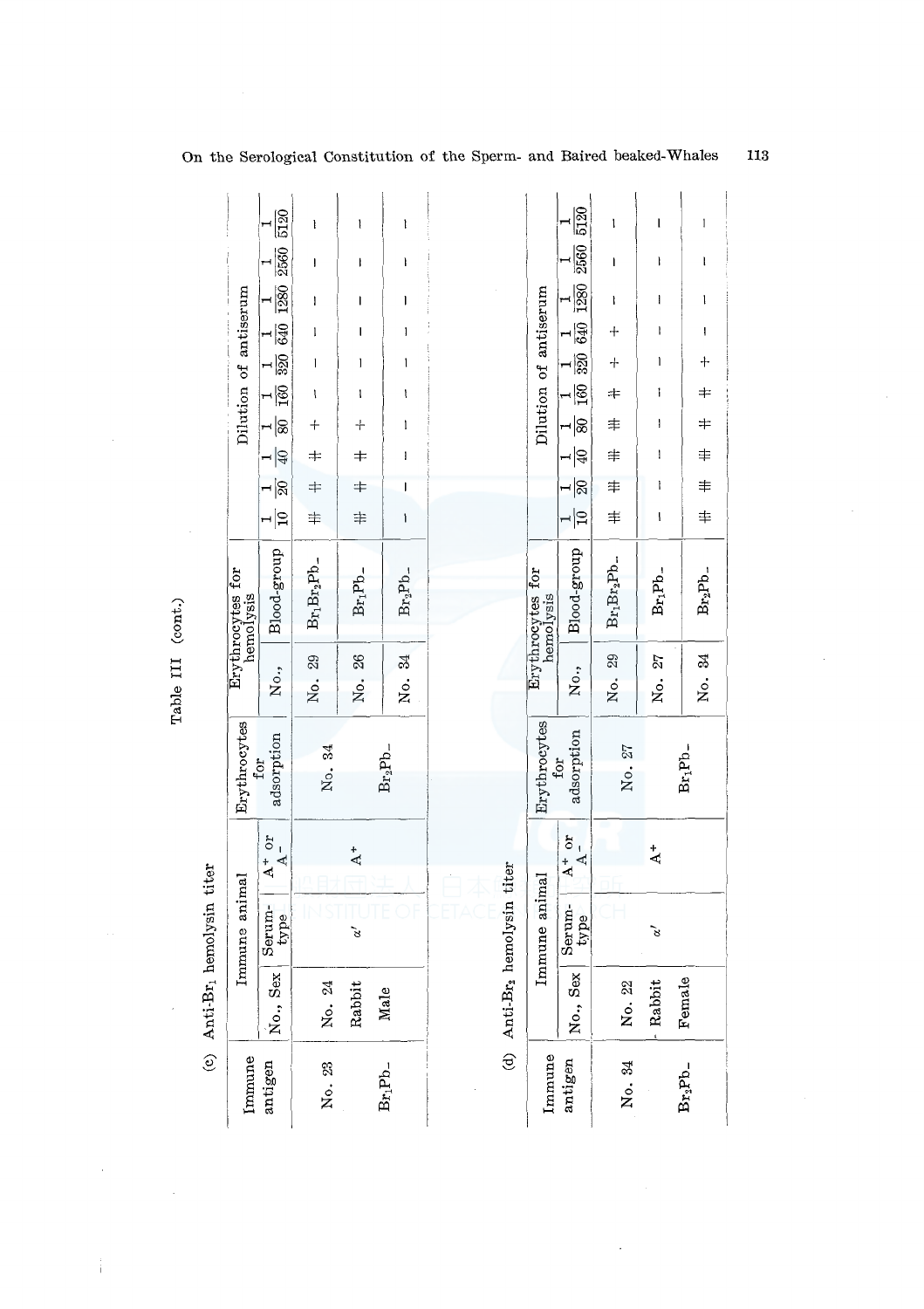|                 |                               | 5120<br>2560                              | ł<br>$\begin{array}{c} \rule{0pt}{2.5ex} \rule{0pt}{2.5ex} \rule{0pt}{2.5ex} \rule{0pt}{2.5ex} \rule{0pt}{2.5ex} \rule{0pt}{2.5ex} \rule{0pt}{2.5ex} \rule{0pt}{2.5ex} \rule{0pt}{2.5ex} \rule{0pt}{2.5ex} \rule{0pt}{2.5ex} \rule{0pt}{2.5ex} \rule{0pt}{2.5ex} \rule{0pt}{2.5ex} \rule{0pt}{2.5ex} \rule{0pt}{2.5ex} \rule{0pt}{2.5ex} \rule{0pt}{2.5ex} \rule{0pt}{2.5ex} \rule{0$                | 1<br>I               | I<br>I                                                                                                                                                                                                                                                                                                                                                                                                              |                 |                               | 5120<br>2560                                  | ı<br>I         | ı<br>I             | I<br>$\mathbf l$                                                                                                                                                                                                                                                                                                                                                                                                    |
|-----------------|-------------------------------|-------------------------------------------|------------------------------------------------------------------------------------------------------------------------------------------------------------------------------------------------------------------------------------------------------------------------------------------------------------------------------------------------------------------------------------------------------|----------------------|---------------------------------------------------------------------------------------------------------------------------------------------------------------------------------------------------------------------------------------------------------------------------------------------------------------------------------------------------------------------------------------------------------------------|-----------------|-------------------------------|-----------------------------------------------|----------------|--------------------|---------------------------------------------------------------------------------------------------------------------------------------------------------------------------------------------------------------------------------------------------------------------------------------------------------------------------------------------------------------------------------------------------------------------|
|                 | Dilution of antiserum         | 1280                                      | $\begin{array}{c} \rule{0pt}{2.5ex} \rule{0pt}{2.5ex} \rule{0pt}{2.5ex} \rule{0pt}{2.5ex} \rule{0pt}{2.5ex} \rule{0pt}{2.5ex} \rule{0pt}{2.5ex} \rule{0pt}{2.5ex} \rule{0pt}{2.5ex} \rule{0pt}{2.5ex} \rule{0pt}{2.5ex} \rule{0pt}{2.5ex} \rule{0pt}{2.5ex} \rule{0pt}{2.5ex} \rule{0pt}{2.5ex} \rule{0pt}{2.5ex} \rule{0pt}{2.5ex} \rule{0pt}{2.5ex} \rule{0pt}{2.5ex} \rule{0$<br>$\pmb{\text{I}}$ | I<br>ı               | ı<br>$\begin{array}{c} \rule{0pt}{2ex} \rule{0pt}{2ex} \rule{0pt}{2ex} \rule{0pt}{2ex} \rule{0pt}{2ex} \rule{0pt}{2ex} \rule{0pt}{2ex} \rule{0pt}{2ex} \rule{0pt}{2ex} \rule{0pt}{2ex} \rule{0pt}{2ex} \rule{0pt}{2ex} \rule{0pt}{2ex} \rule{0pt}{2ex} \rule{0pt}{2ex} \rule{0pt}{2ex} \rule{0pt}{2ex} \rule{0pt}{2ex} \rule{0pt}{2ex} \rule{0pt}{2ex} \rule{0pt}{2ex} \rule{0pt}{2ex} \rule{0pt}{2ex} \rule{0pt}{$ |                 | Dilution of antiserum         | 1280<br>640                                   | ł<br>$\ddot{}$ | $\mathbf i$<br>ł   | $\begin{array}{c} \rule{0pt}{2ex} \rule{0pt}{2ex} \rule{0pt}{2ex} \rule{0pt}{2ex} \rule{0pt}{2ex} \rule{0pt}{2ex} \rule{0pt}{2ex} \rule{0pt}{2ex} \rule{0pt}{2ex} \rule{0pt}{2ex} \rule{0pt}{2ex} \rule{0pt}{2ex} \rule{0pt}{2ex} \rule{0pt}{2ex} \rule{0pt}{2ex} \rule{0pt}{2ex} \rule{0pt}{2ex} \rule{0pt}{2ex} \rule{0pt}{2ex} \rule{0pt}{2ex} \rule{0pt}{2ex} \rule{0pt}{2ex} \rule{0pt}{2ex} \rule{0pt}{$<br>I |
|                 |                               | $rac{1}{320}$ 640                         | $\sf l$                                                                                                                                                                                                                                                                                                                                                                                              | I                    | 1                                                                                                                                                                                                                                                                                                                                                                                                                   |                 |                               | 320                                           | $^{+}$         | I                  | $\ddot{}$                                                                                                                                                                                                                                                                                                                                                                                                           |
|                 |                               | $\frac{1}{2}$                             | I                                                                                                                                                                                                                                                                                                                                                                                                    | ı                    | ţ                                                                                                                                                                                                                                                                                                                                                                                                                   |                 |                               | $\overline{160}$                              | $\ddagger$     | i                  | $\ddagger$                                                                                                                                                                                                                                                                                                                                                                                                          |
|                 |                               | $\frac{1}{\sqrt{8}}$                      | $\ddagger$                                                                                                                                                                                                                                                                                                                                                                                           | $+$                  | I                                                                                                                                                                                                                                                                                                                                                                                                                   |                 |                               | $\frac{1}{8}$                                 | ≢              | ł                  | ╪                                                                                                                                                                                                                                                                                                                                                                                                                   |
|                 |                               | $\frac{1}{40}$                            | $\pm$                                                                                                                                                                                                                                                                                                                                                                                                | $\, =$               | ı                                                                                                                                                                                                                                                                                                                                                                                                                   |                 |                               | ⊣¦ಧ                                           | $\ddot{}$      | $\pmb{\mathsf{l}}$ | ≢                                                                                                                                                                                                                                                                                                                                                                                                                   |
|                 |                               | $\overline{\mathbb{R}}$<br>$\blacksquare$ | $\ddagger$                                                                                                                                                                                                                                                                                                                                                                                           | $\ddot{}$            | J                                                                                                                                                                                                                                                                                                                                                                                                                   |                 |                               | $\overline{\mathbb{S}}$                       | 丰              | I                  | $\ddagger$                                                                                                                                                                                                                                                                                                                                                                                                          |
|                 |                               | $\frac{1}{2}$                             | $\ddagger$                                                                                                                                                                                                                                                                                                                                                                                           | 丰                    | ١                                                                                                                                                                                                                                                                                                                                                                                                                   |                 |                               | $\frac{1}{10}$                                | $\ddagger$     | ł                  | $\ddagger$                                                                                                                                                                                                                                                                                                                                                                                                          |
|                 | Erythrocytes for<br>hemolysis | Blood-group                               | $Br_1Br_2Pb$ -                                                                                                                                                                                                                                                                                                                                                                                       | $Br_1Pb$ -           | $Br_2Pb$ -                                                                                                                                                                                                                                                                                                                                                                                                          |                 | Erythrocytes for<br>hemolysis | Blood-group                                   | $Br_1Br_2Pb$ - | $Br_1Pb$ -         | $Br_2Pb$ -                                                                                                                                                                                                                                                                                                                                                                                                          |
|                 |                               | No.,                                      | 29<br>Ż.                                                                                                                                                                                                                                                                                                                                                                                             | 26<br>No.            | S,<br>s.                                                                                                                                                                                                                                                                                                                                                                                                            |                 |                               | No.,                                          | No. 29         | 27<br>.<br>Ž       | No. 34                                                                                                                                                                                                                                                                                                                                                                                                              |
|                 | Erythrocytes<br>for           | adsorption                                | No. 34                                                                                                                                                                                                                                                                                                                                                                                               |                      | $Br_2Pb-$                                                                                                                                                                                                                                                                                                                                                                                                           |                 | Erythrocytes                  | adsorption<br>for                             | No. 27         |                    | $Br_1Pb$ -                                                                                                                                                                                                                                                                                                                                                                                                          |
|                 |                               | $A^+$ or<br>$\Delta$ –                    |                                                                                                                                                                                                                                                                                                                                                                                                      | $\overline{A}$       |                                                                                                                                                                                                                                                                                                                                                                                                                     |                 |                               | $A^+$ or<br>$\bar{1}$<br>$\blacktriangleleft$ |                | $\ddot{A}$         |                                                                                                                                                                                                                                                                                                                                                                                                                     |
| hemolysin titer | Immune animal                 | Serum-<br>type                            |                                                                                                                                                                                                                                                                                                                                                                                                      | $\tilde{\mathbf{z}}$ |                                                                                                                                                                                                                                                                                                                                                                                                                     | hemolysin titer | mmune animal                  | Serum-<br>type                                |                | ð                  |                                                                                                                                                                                                                                                                                                                                                                                                                     |
| (c) $Anti-Br_1$ |                               | No., Sex                                  | No. 24                                                                                                                                                                                                                                                                                                                                                                                               | Rabbit               | Male                                                                                                                                                                                                                                                                                                                                                                                                                | (d) $Anti-Br2$  |                               | No., Sex                                      | No. 22         | Rabbit             | Female                                                                                                                                                                                                                                                                                                                                                                                                              |
|                 | Immune                        | antigen                                   | No. 23                                                                                                                                                                                                                                                                                                                                                                                               |                      | $Br_1Pb$ -                                                                                                                                                                                                                                                                                                                                                                                                          |                 | Immune                        | antigen                                       | No. 34         |                    | $Br_2Pb$ -                                                                                                                                                                                                                                                                                                                                                                                                          |

Table III (cont.) Table III (cont.)

÷,

 $\frac{1}{1}$ 

÷,

 $113$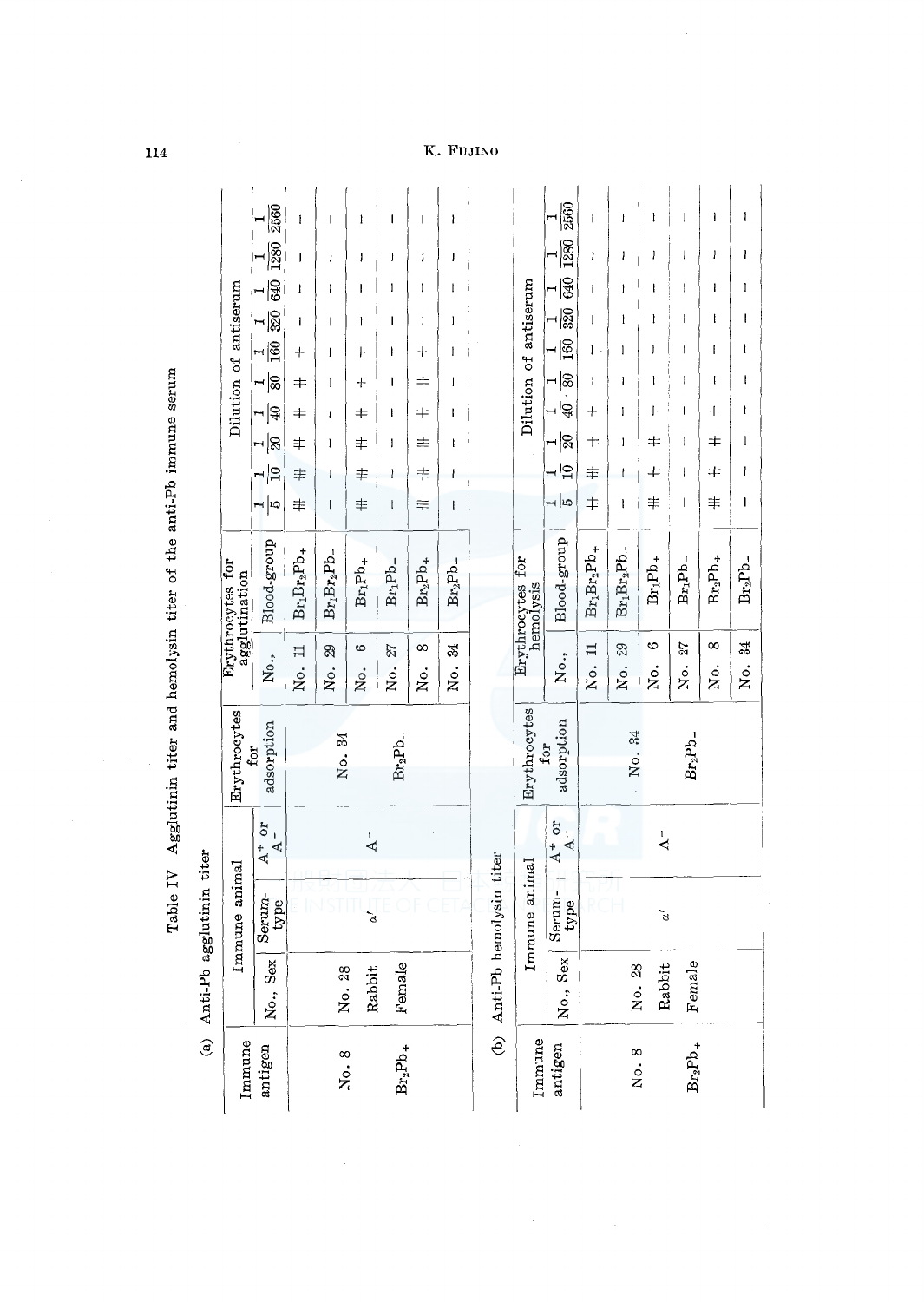|                  | Dilution of antiserum<br>Erythrocytes for<br>agglutination<br>Erythrocytes | 2560<br>280<br>640<br>$\frac{1}{320}$<br>$\frac{1}{100}$<br>∼∣≋<br>⊶∣੩<br>$\frac{1}{2}$<br>~∣9<br>ط∣ ⊶<br>Blood-group<br>No.,<br>adsorption<br>for<br>10t<br>$\begin{array}{c} \rule{0.2cm}{0.15cm} \rule{0.2cm}{0.15cm} \rule{0.2cm}{0.15cm} \rule{0.2cm}{0.15cm} \rule{0.2cm}{0.15cm} \rule{0.2cm}{0.15cm} \rule{0.2cm}{0.15cm} \rule{0.2cm}{0.15cm} \rule{0.2cm}{0.15cm} \rule{0.2cm}{0.15cm} \rule{0.2cm}{0.15cm} \rule{0.2cm}{0.15cm} \rule{0.2cm}{0.15cm} \rule{0.2cm}{0.15cm} \rule{0.2cm}{0.15cm} \rule{$<br>4<br>ব | ł<br>J<br>ł<br>ı<br>$\hspace{0.1mm} +$<br>≠<br>≠<br>丰<br>丰<br>丰<br>$Br_1Br_2Pb_+$<br>$\mathbf{I}$<br>Ż. | ł<br>ł<br>ı<br>ı<br>I<br>1<br>t<br>ł<br>ı<br>ŧ<br>$Br_1Br_2Pb-$<br>29<br>Ńо.<br>No. 34 | Ì<br>J<br>I<br>I<br>$\,+\,$<br>┿<br>╪<br>丰<br>丰<br>丰<br>$Br_1Pb_+$<br>అ<br>ż.<br>$\overline{A}$ | ı<br>J<br>1<br>I<br>ł<br>ı<br>I<br>I<br>ł<br>t<br>Br <sub>1</sub> Pb_<br>27<br>Νo.<br>$\rm Br_2Pb_-$ | ı<br>í<br>1<br>1<br>┿<br>╪<br>╪<br>丰<br>丰<br>丰<br>$Br_2Pb_+$<br>8<br>Йo. | ł<br>ı<br>I<br>ł<br>$\mathbf{I}$<br>I<br>ł<br>ł<br>ł<br>ł<br>$Br_2Pb$ -<br>24<br>.<br>Š |                 | Dilution of antiserum<br>Erythrocytes for<br>hemolysis<br>Erythrocytes | 2560<br>1280<br>940<br>320<br>$\overline{160}$<br>⊣ ଛ<br>$\frac{1}{40}$<br>$\frac{1}{20}$<br>$ \Xi$<br>$\frac{1}{6}$<br>Blood-group<br>No.,<br>adsorption<br>for<br>$\ddot{\circ}$<br>$A -$<br>4<br>ન્ત | I<br>I<br>I<br>ł<br>1<br>ł<br>$^{+}$<br>$\,{}^+$<br>丰<br>丰<br>$Br_1Br_2Pb_+$<br>$\mathbf{1}$<br>Ż.<br>rch | ł<br>I<br>ł<br>ł<br>1<br>ł<br>i<br>1<br>ł<br>I<br>$Br_1Br_2Pb$ -<br>88<br>ż.<br>No. 34 | ł<br>1<br>ı<br>ł<br>J<br>ł<br>┿<br>≠<br>≠<br>丰<br>$Br_1Pb_+$<br>అ<br>.<br>Ž<br>$\overline{A}$ | Į<br>ł<br>I<br>I<br>ł<br>1<br>ł<br>1<br>ł<br>I<br>$Br_1Pb$ -<br>21<br>Χo.<br>$Br_2Pb$ - | ì<br>1<br>ı<br>ł<br>ł<br>ł<br>┿<br>丰<br>≠<br>丰<br>$Br_2Pb_+$<br>$^{\circ}$<br>Йo. | ł<br>ı<br>I<br>ı<br>I<br>I<br>ł<br>1<br>ı<br>I<br>$Br_2Pb$ -<br>24<br>.<br>Ž |
|------------------|----------------------------------------------------------------------------|-----------------------------------------------------------------------------------------------------------------------------------------------------------------------------------------------------------------------------------------------------------------------------------------------------------------------------------------------------------------------------------------------------------------------------------------------------------------------------------------------------------------------------|---------------------------------------------------------------------------------------------------------|----------------------------------------------------------------------------------------|-------------------------------------------------------------------------------------------------|------------------------------------------------------------------------------------------------------|--------------------------------------------------------------------------|-----------------------------------------------------------------------------------------|-----------------|------------------------------------------------------------------------|---------------------------------------------------------------------------------------------------------------------------------------------------------------------------------------------------------|-----------------------------------------------------------------------------------------------------------|----------------------------------------------------------------------------------------|-----------------------------------------------------------------------------------------------|-----------------------------------------------------------------------------------------|-----------------------------------------------------------------------------------|------------------------------------------------------------------------------|
| agglutinin titer | Immune animal                                                              | Serum-<br>type                                                                                                                                                                                                                                                                                                                                                                                                                                                                                                              |                                                                                                         |                                                                                        | $\alpha^{\prime}$                                                                               |                                                                                                      |                                                                          |                                                                                         | hemolysin titer | mmune animal                                                           | Serum-<br>type                                                                                                                                                                                          |                                                                                                           |                                                                                        | $\tilde{\mathcal{E}}$                                                                         |                                                                                         |                                                                                   |                                                                              |
| (a) $Anti-Pb$    | Immune                                                                     | No., Sex<br>antigen                                                                                                                                                                                                                                                                                                                                                                                                                                                                                                         |                                                                                                         | No. 28<br>No. 8                                                                        | Rabbit                                                                                          | Female<br>$Br_2Pb_+$                                                                                 |                                                                          |                                                                                         | (b) Anti-Pb     | Immune                                                                 | No., Sex<br>antigen                                                                                                                                                                                     |                                                                                                           | No. 28<br>No. 8                                                                        | Rabbit                                                                                        | Female<br>$Br_2Pb_+$                                                                    |                                                                                   |                                                                              |

 $\ddot{\phantom{a}}$ 

Table IV Agglutinin titer and hemolysin titer of the anti-Pb immune serum Table IV Agglutinin titer and hemolysin titer of the anti-Pb immune serum

114

# .<br>Fujino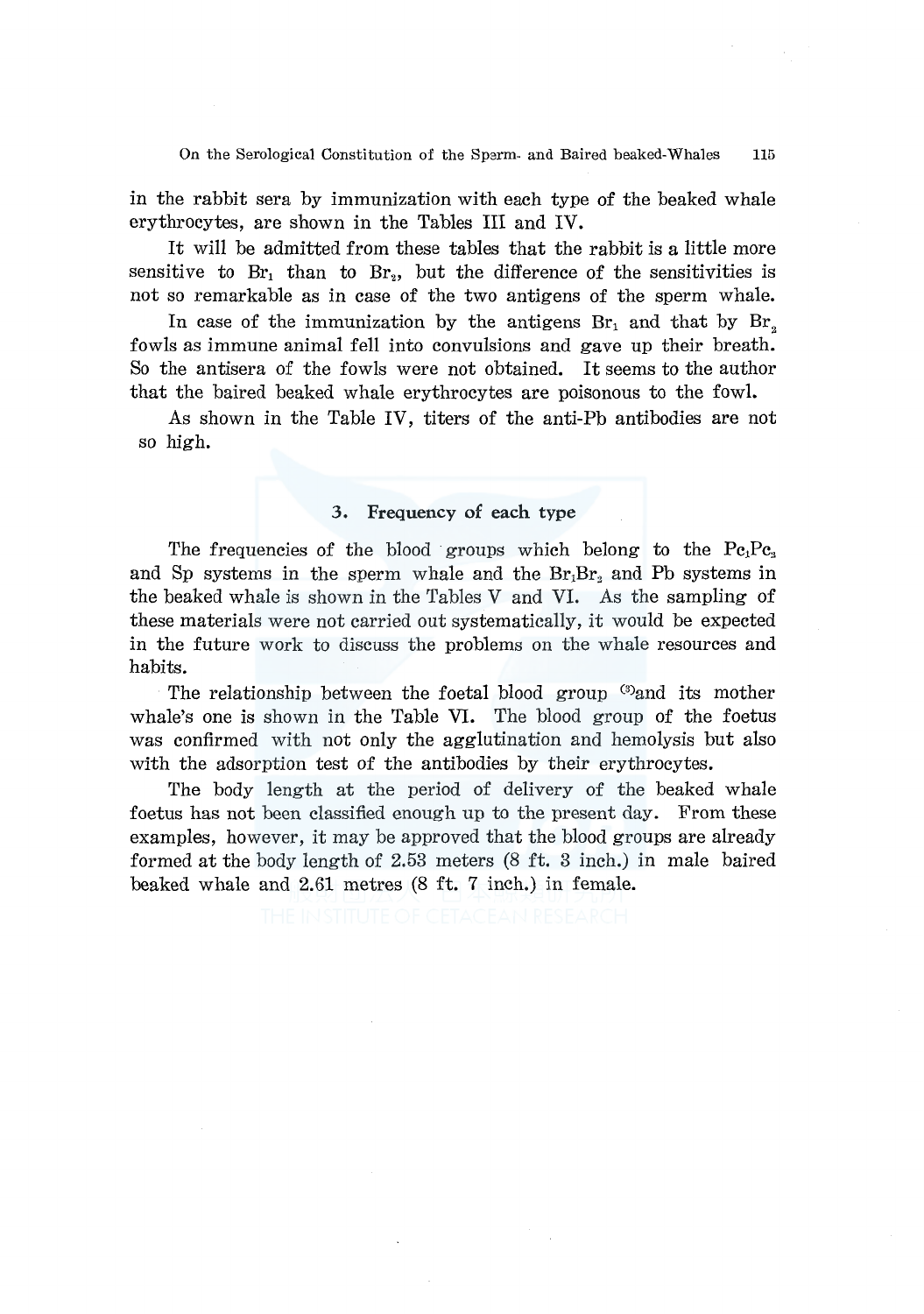On the Serological Constitution of the Sperm- and Baired beaked-Whales 115

in the rabbit sera by immunization with each type of the beaked whale erythrocytes, are shown in the Tables III and IV.

It will be admitted from these tables that the rabbit is a little more sensitive to  $Br_1$  than to  $Br_2$ , but the difference of the sensitivities is not so remarkable as in case of the two antigens of the sperm whale.

In case of the immunization by the antigens  $Br<sub>1</sub>$  and that by  $Br<sub>2</sub>$ fowls as immune animal fell into convulsions and gave up their breath. So the antisera of the fowls were not obtained. It seems to the author that the haired beaked whale erythrocytes are poisonous to the fowl.

As shown in the Table IV, titers of the anti-Pb antibodies are not so high.

### **3. Frequency of each type**

The frequencies of the blood groups which belong to the  $Pe_1Pe_2$ and Sp systems in the sperm whale and the  $Br_1Br_3$  and Pb systems in the beaked whale is shown in the Tables V and VI. As the sampling of these materials were not carried out systematically, it would be expected in the future work to discuss the problems on the whale resources and habits.

The relationship between the foetal blood group  $\mathbb{S}^3$  and its mother whale's one is shown in the Table VI. The blood group of the foetus was confirmed with not only the agglutination and hemolysis but also with the adsorption test of the antibodies by their erythrocytes.

The body length at the period of delivery of the beaked whale foetus has not been classified enough up to the present day. From these examples, however, it may be approved that the blood groups are already formed at the body length of 2.53 meters  $(8 \text{ ft. } 3 \text{ inch.})$  in male baired beaked whale and 2.61 metres (8 ft. 7 inch.) in female.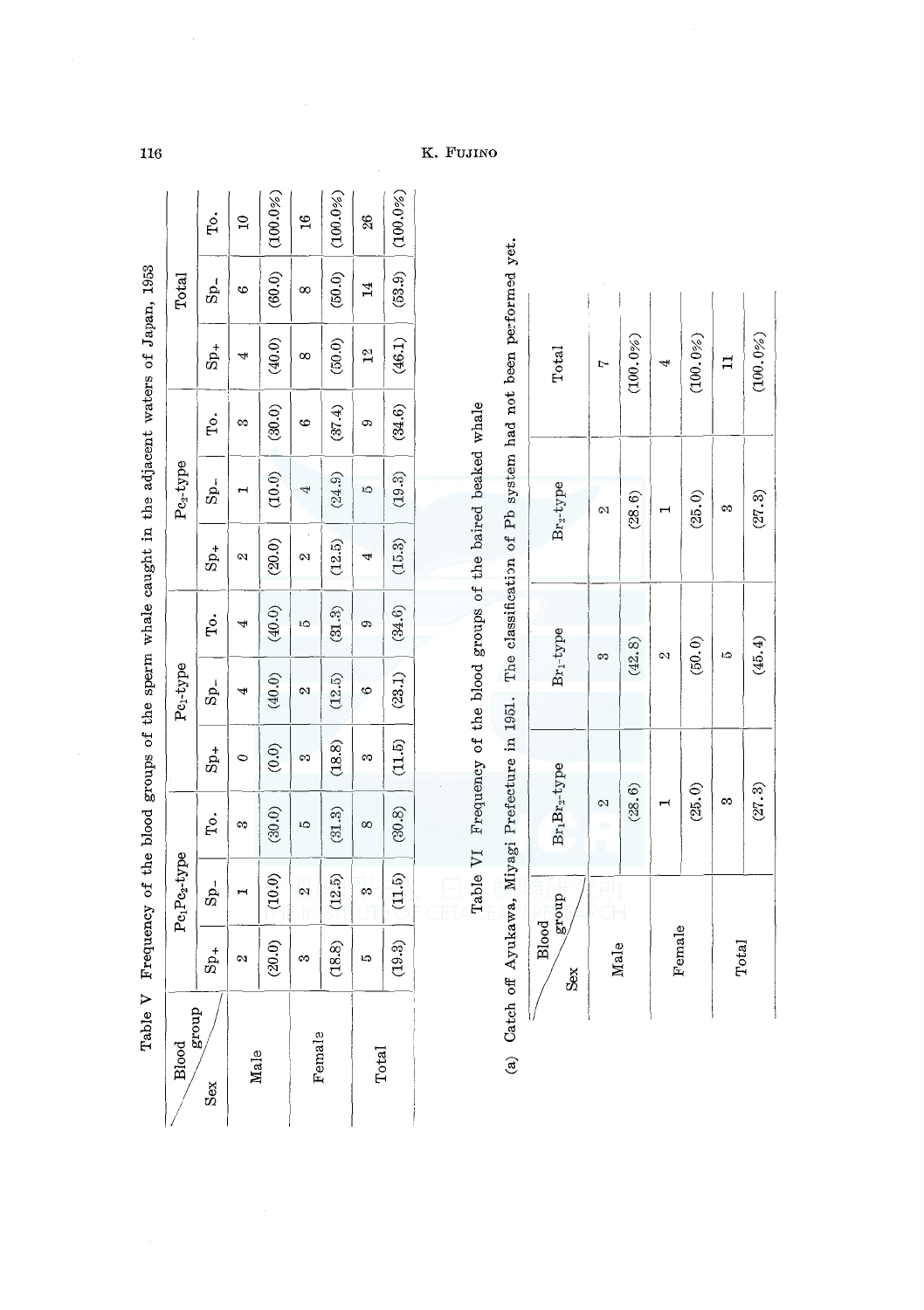| Table V                |          |                                       | Frequency of the blood groups of the sperm whale caught in the adjacent waters of Japan, 1953 |                 |                       |        |                 |              |        |                             |                 |               |
|------------------------|----------|---------------------------------------|-----------------------------------------------------------------------------------------------|-----------------|-----------------------|--------|-----------------|--------------|--------|-----------------------------|-----------------|---------------|
| dno.a8<br><b>Blood</b> |          | Pc <sub>1</sub> Pc <sub>2</sub> -type |                                                                                               |                 | Pc <sub>1</sub> -type |        |                 | $Pe_2$ -type |        |                             | Total           |               |
|                        | $S_{p+}$ | $S_{\rm p}$ -                         | ç,                                                                                            | $S_{\text{D+}}$ | $Sp-$                 | ę.     | $S_{\rm p_{+}}$ | Sp_          | ç.     | $\mathbf{s}_{\mathrm{p}_+}$ | $Sp_{-}$        | To.           |
| Male                   |          |                                       | œ                                                                                             |                 |                       |        | N               |              | ಣ      |                             | ٩               |               |
|                        | (20.0)   | (10.0)                                | (30.0)                                                                                        | (0.0)           | (40.0)                | (40.0) | (20.0)          | (10.0)       | (30.0) | (40.0)                      | (60.0)          | (100.0%       |
| Female                 | M        | 2                                     | ĉ                                                                                             |                 | M                     |        | 2               |              | ७      | ∞                           | $^{\circ}$      | $\frac{6}{1}$ |
|                        | (18.8)   | (12.5)                                | (31.3)                                                                                        | (18.8)          | (12.5)                | (31.3) | (12.5)          | (24.9)       | (37.4) | (50.0)                      | (50.0)          | (90.06)       |
| Total                  | ю        | S                                     | ∞                                                                                             | m               | ల                     |        |                 | ద            | ශ      | $\frac{2}{1}$               | $\overline{14}$ | 26            |
|                        | (19.3)   | (11.5)                                | (30.8)                                                                                        | (11.5)          | (23.1)                | (34.6) | (15.3)          | (19.3)       | (34.6) | (46.1)                      | (53.9)          | (100.0%       |
|                        |          |                                       |                                                                                               |                 |                       |        |                 |              |        |                             |                 |               |

Table VI Frequency of the blood groups of the baired beaked whale Table VI Frequency of the blood groups of the haired beaked whale (a) Catch off Ayukawa, Miyagi Prefecture in 1951. The classification of Pb system had not been performed yet. (a) Catch off Ayukawa, Miyagi Prefecture in 1951. The classification of Pb system had not been performed yet.

| Blood<br>Sgroup<br>Sex | $\rm Br_1Br_2$ type | $Br_1-type$ | Br <sub>2</sub> -type | Total       |
|------------------------|---------------------|-------------|-----------------------|-------------|
| Male                   | $\infty$            | ဢ           | $\mathcal{Q}$         |             |
|                        | (28.6)              | (42.8)      | $(28,6)$              | $(100.0\%)$ |
| Female                 |                     | 2           |                       | 4           |
|                        | (25.0)              | (50.0)      | (25.0)                | (100.0%)    |
| Total                  | œ,                  | L)          | $\infty$              | $\vec{r}$   |
|                        | (27.3)              | (45.4)      | (27.3)                | (100.0%)    |

 $116$ 

K. FUJINO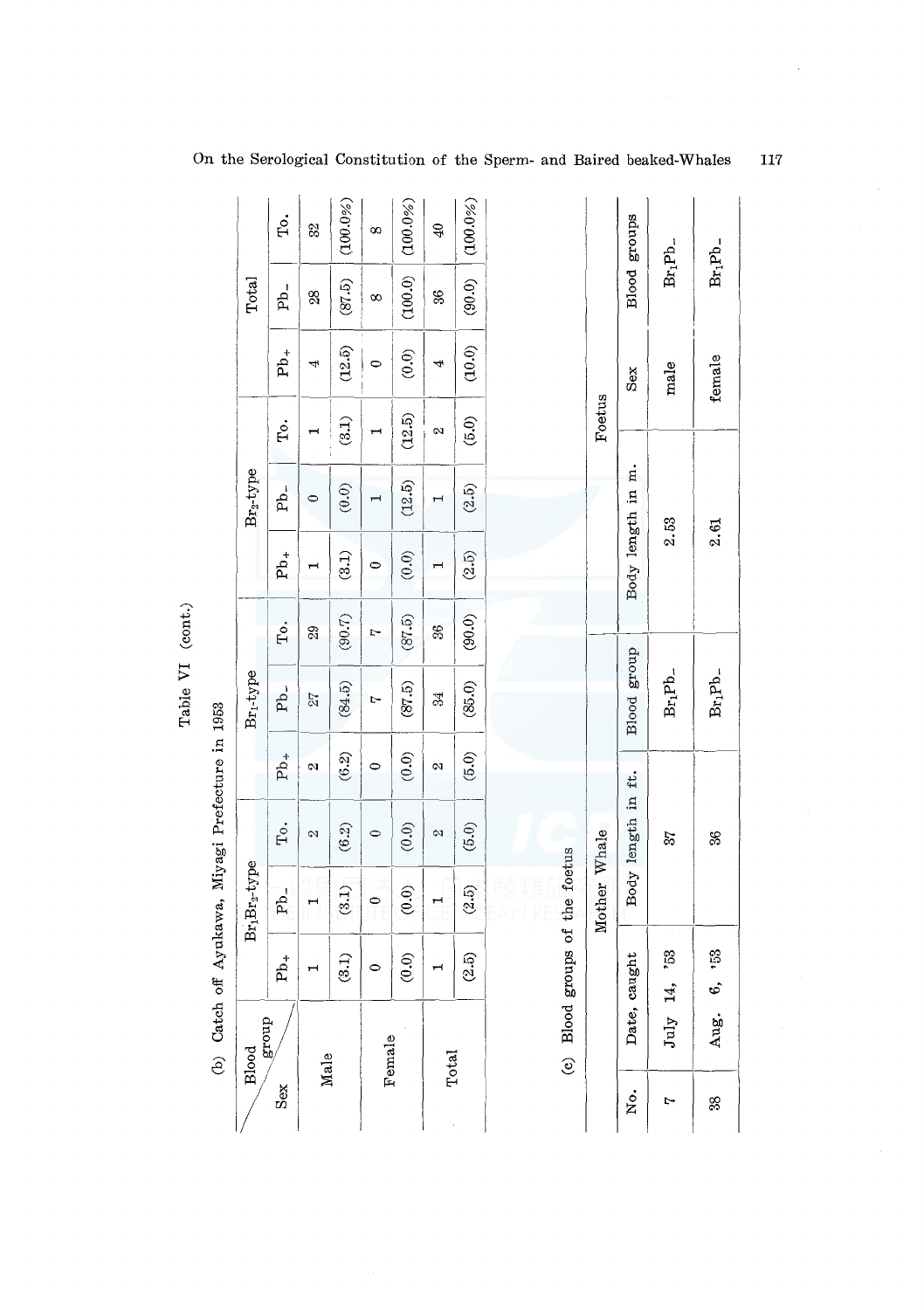|       | home was a see to the same was a seem to the world for |                            |                                       |                         |                   |                       |          |                |                          |                       |               |             |                |
|-------|--------------------------------------------------------|----------------------------|---------------------------------------|-------------------------|-------------------|-----------------------|----------|----------------|--------------------------|-----------------------|---------------|-------------|----------------|
|       | Blood                                                  |                            | Br <sub>1</sub> Br <sub>2</sub> -type |                         |                   | Br <sub>1</sub> -type |          |                | Br <sub>2</sub> -type    |                       |               | Total       |                |
| Sex   | group                                                  | $Pb_+$                     | Pb <sub>-</sub>                       | Tо.                     | $Pb_{+}$          | Pb <sub>-</sub>       | To.      | $Pb_+$         | Pb <sub>-</sub>          | Tо.                   | $Pb_+$        | $Pb$ .      | Ţо.            |
| Male  |                                                        |                            |                                       | Ø.                      | $\infty$          | 27                    | 29       | ī              | $\circ$                  | $\mathbf{\mathbf{r}}$ | 4             | 88          | 82             |
|       |                                                        | (3.1)                      | (3.1)                                 | $(\mathbf{6.2})$        | (6.2)             | (84.5)                | $(90.7)$ | (3.1)          | (0.0)                    | (3.1)                 | (12.5)        | (87.5)      | (100.0%        |
|       | Female                                                 | $\circ$                    | $\circ$                               | $\bullet$               | $\circ$           | Ļ.                    | Ņ        | $\circ$        | $\overline{\phantom{0}}$ | $\blacksquare$        | $\circ$       | $^{\infty}$ | 8              |
|       |                                                        | (0.0)                      | $(0.0)$                               | (0.0)                   | $(0.0)$           | (87.5)                | (87.5)   | (0.0)          | (12.5)                   | (12.5)                | $\widehat{6}$ | (100.0)     | (100.0%)       |
| Total |                                                        | $\blacksquare$             | $\mathbf{\mathbf{H}}$                 | $\overline{\mathbf{z}}$ | $\mathbf{\alpha}$ | 34                    | 36       | $\overline{ }$ | H                        | N                     | ₩             | 36          | $\mathfrak{B}$ |
|       |                                                        | (2.5)                      | $(2.5)$                               | (5.0)                   | $(5.0)$           | (85.0)                | (90.0)   | (2.5)          | (2.5)                    | (5.0)                 | (10.0)        | (90.0)      | (100.0%        |
|       |                                                        |                            |                                       |                         |                   |                       |          |                |                          |                       |               |             |                |
|       | (c) Blood groups of the foetus                         |                            |                                       |                         |                   |                       |          |                |                          |                       |               |             |                |
|       |                                                        |                            | Mother Whale                          |                         |                   |                       |          |                |                          | Foetus                |               |             |                |
| Хo.   |                                                        | Date, caught               |                                       | Body length in ft.      |                   | Blood group           |          |                | Body length in m.        |                       | Sex           |             | Blood groups   |
| Ļ     | July                                                   | 53                         |                                       | 22                      |                   | $Br_1Pb$ -            |          |                | 2.53                     |                       | male          | $Br_1Pb$ -  |                |
| 88    | Aug.                                                   | 53<br>$\ddot{\phantom{0}}$ |                                       | SS                      |                   | $Br_1Pb$ -            |          |                | 2.61                     |                       | female        | $Br_1Pb$ -  |                |

Table VI (cont.) Table VI (cont.)

(b) Catch off Avukawa, Mivagi Prefecture in 1953 (b) Catch off Ayukawa, Miyagi Prefecture in 1953

On the Serological Constitution of the Sperm- and Baired beaked-Whales

117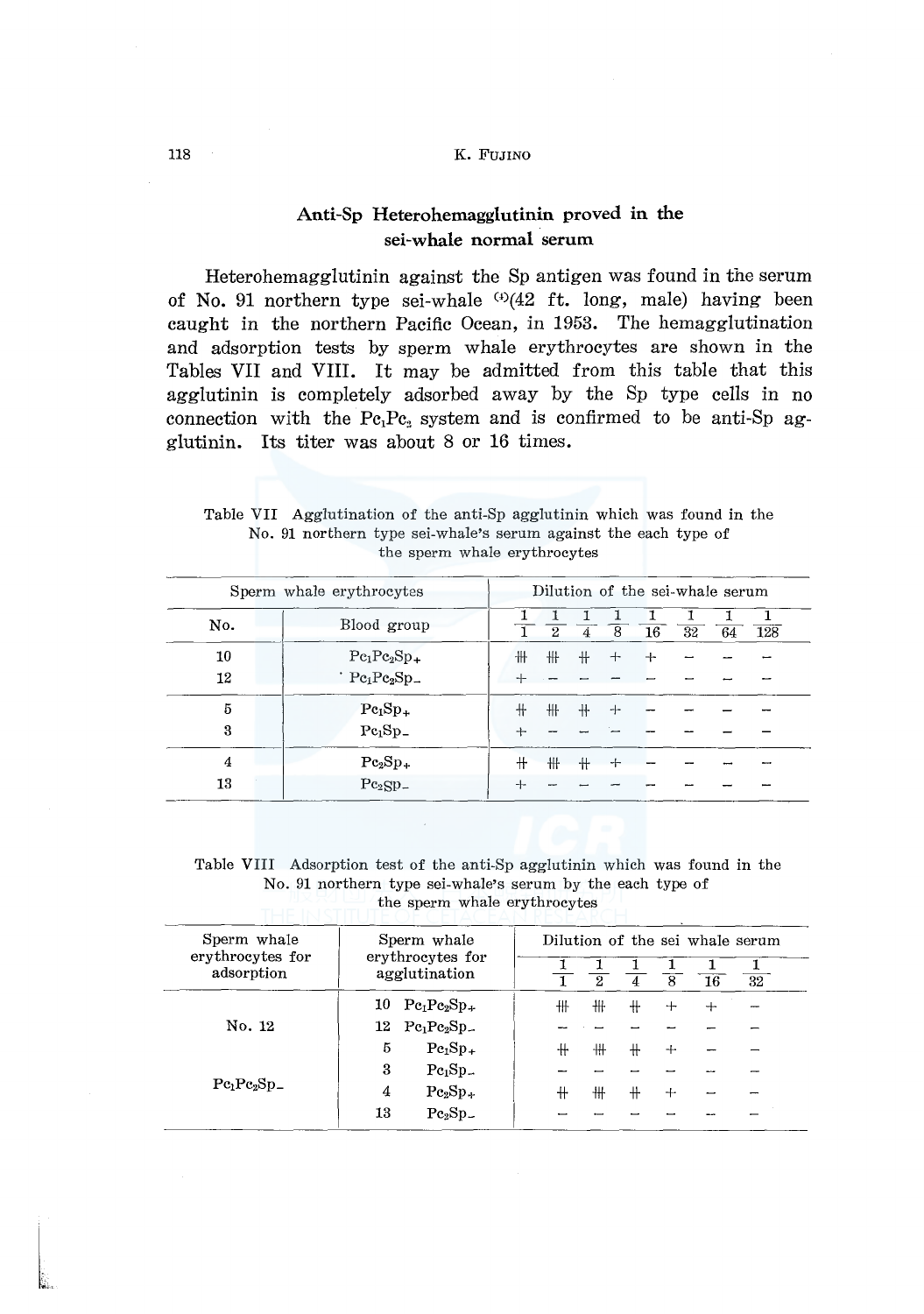## 118 K. FUJINO

# Anti-Sp Heterohemagglutinin proved in the sei-whale normal serum

Heterohemagglutinin against the Sp antigen was found in the serum of No. 91 northern type sei-whale  $(4)(42$  ft. long, male) having been caught in the northern Pacific Ocean, in 1953. The hemagglutination and adsorption tests by sperm whale erythrocytes are shown in the Tables VII and VIII. It may be admitted from this table that this agglutinin is completely adsorbed away by the Sp type cells in no connection with the  $Pe_1Pe_2$  system and is confirmed to be anti-Sp agglutinin. Its titer was about 8 or 16 times.

Table VII Agglutination of the anti-Sp agglutinin which was found in the No. 91 northern type sei-whale's serum against the each type of the sperm whale erythrocytes

|          | Sperm whale erythrocytes                                           | Dilution of the sei-whale serum |             |     |     |     |    |    |     |  |  |
|----------|--------------------------------------------------------------------|---------------------------------|-------------|-----|-----|-----|----|----|-----|--|--|
| No.      | Blood group                                                        |                                 | $2^{\circ}$ | 4   | 8   | 16  | 32 | 64 | 128 |  |  |
| 10<br>12 | $Pe1Pe2Sp+$<br>$'$ Pc <sub>1</sub> Pc <sub>2</sub> Sp <sub>-</sub> | ╫                               | ╫           | $+$ | $+$ | $+$ |    |    |     |  |  |
| 5<br>3   | $Pe1Sp+$<br>$Pc_1Sp_$                                              |                                 | 卌           | $+$ | ⊹   |     |    |    |     |  |  |
| 4<br>13  | $Pe2Sp+$<br>$Pe_2SPL$                                              |                                 | ╫           | $+$ | $+$ |     |    |    |     |  |  |

Table VIII Adsorption test of the anti-Sp agglutinin which was found in the No. 91 northern type sei-whale•s serum by the each type of the sperm whale erythrocytes

| Sperm whale                    | Sperm whale |                                           |   |   |            |   |    | Dilution of the sei whale serum |
|--------------------------------|-------------|-------------------------------------------|---|---|------------|---|----|---------------------------------|
| erythrocytes for<br>adsorption |             | erythrocytes for<br>agglutination         |   | 2 | 4          | 8 | 16 | 32                              |
|                                | 10          | $Pe_1Pe_2Sp_+$                            | ╫ | ₩ | ╫          | ┿ | ┿  |                                 |
| No. 12                         |             | $12 \text{ Pe}_1 \text{Pe}_2 \text{Sp}_-$ |   |   |            |   |    |                                 |
|                                | 5           | $Pe1Sp+$                                  | ╫ | ╫ | $\ddagger$ | ┿ |    |                                 |
|                                | 3           | $Pe1Sp-$                                  |   |   |            |   |    |                                 |
| $Pe1Pe2Sp-$                    | 4           | $Pe2Sp+$                                  | ╫ | ╫ | $+$        | ┿ |    |                                 |
|                                | 13          | $Pe2Sp-$                                  |   |   |            |   |    |                                 |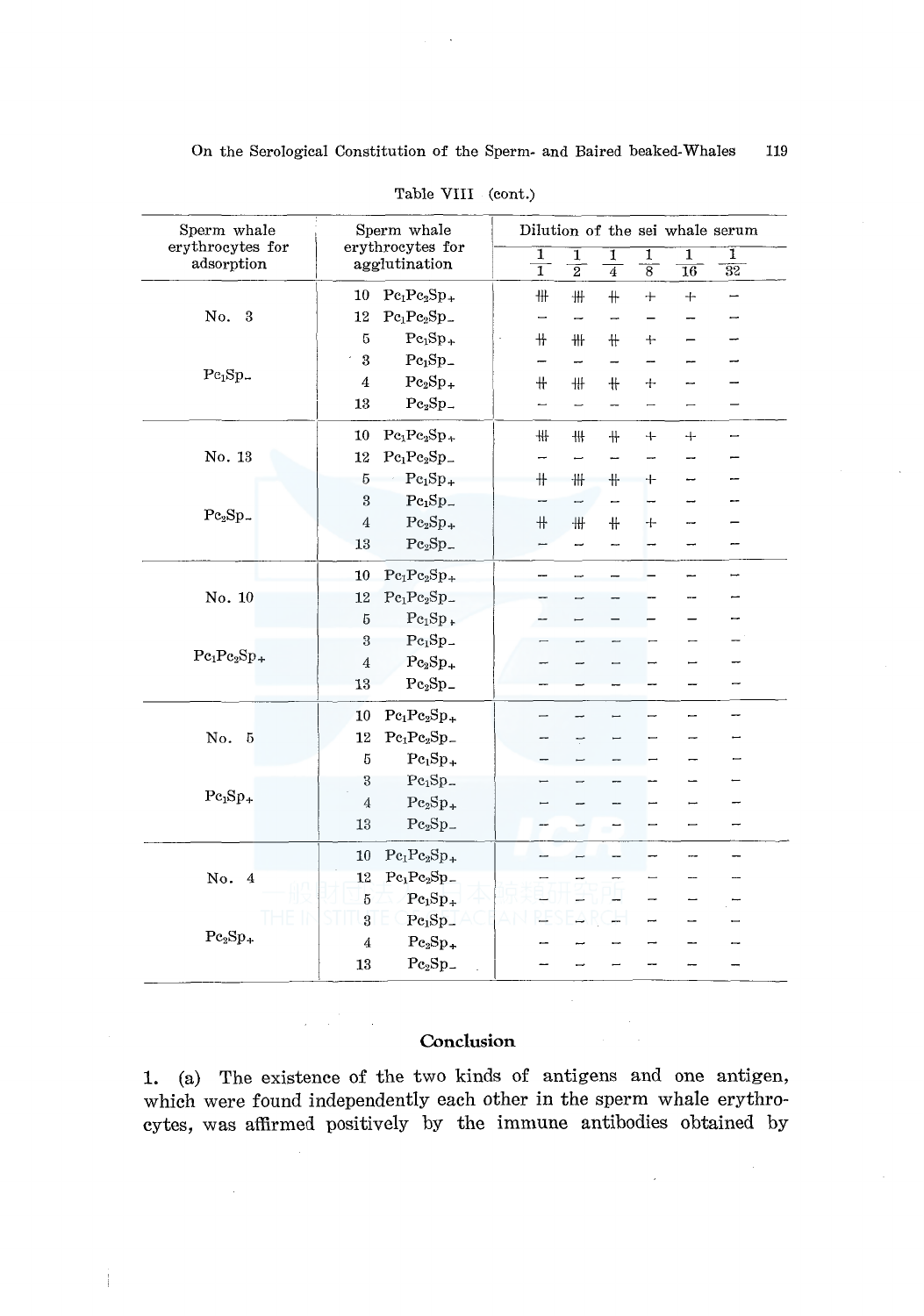| Sperm whale<br>erythrocytes for |       |                  | Sperm whale<br>erythrocytes for           |  |                     |                          |                          |                     |                          | Dilution of the sei whale serum |  |
|---------------------------------|-------|------------------|-------------------------------------------|--|---------------------|--------------------------|--------------------------|---------------------|--------------------------|---------------------------------|--|
| adsorption                      |       |                  | agglutination                             |  | ī<br>$\overline{1}$ | ī<br>$\overline{2}$      | ī<br>$\overline{4}$      | 1<br>$\overline{8}$ | 1<br>$\overline{16}$     | 1<br>$\overline{32}$            |  |
|                                 |       | 10               | $Pc_1Pc_2Sp_+$                            |  | ₩                   | $\#$                     | $+$                      | $^{+}$              | $+$                      | —                               |  |
| No. 3                           |       | 12               | $Pe_1Pe_2Sp$ .                            |  | —                   | $\overline{\phantom{0}}$ | $\overline{\phantom{0}}$ |                     |                          |                                 |  |
|                                 |       | 5                | $Pe1Sp+$                                  |  | #                   | ₩                        | $+$                      | $+$                 |                          |                                 |  |
|                                 |       | $\bf 3$          | $Pe1Sp-$                                  |  |                     | -                        | $\overline{\phantom{0}}$ |                     |                          |                                 |  |
| Pe <sub>1</sub> Sp              |       | 4                | $Pe_2Sp_+$                                |  | $\pm$               | ₩                        | $+$                      | $\div$              | --                       |                                 |  |
|                                 |       | 13               | $Pe2Sp-$                                  |  |                     | $\overline{\phantom{0}}$ | $\overline{\phantom{0}}$ | —                   | $\overline{\phantom{0}}$ |                                 |  |
|                                 |       | 10               | $Pe_1Pe_2Sp_+$                            |  | ₩                   | ₩                        | $+$                      | $+$                 | $+$                      |                                 |  |
| No. 13                          |       | 12               | $Pe_1Pe_2Sp_-$                            |  | -                   | $\overline{\phantom{0}}$ | <u></u>                  |                     | -                        |                                 |  |
|                                 |       | $\overline{5}$   | $Pe_1Sp_+$                                |  | $\!+\!$             | ₩                        | $+$                      | +                   | -                        |                                 |  |
|                                 |       | $\,3$            | $Pe1Sp-$                                  |  |                     | $\overline{\phantom{0}}$ | —                        |                     |                          |                                 |  |
| $Pe2Sp$ <sub>-</sub>            |       | $\overline{4}$   | $Pe_2Sp_+$                                |  | $\!+\!$             | $\ddagger\ddagger$       | ╫                        | ┿                   |                          |                                 |  |
|                                 |       | 13               | $Pe_2Sp_-$                                |  | −                   | -                        | -                        |                     | -                        |                                 |  |
|                                 |       | 10               | $Pe_1Pe_2Sp_+$                            |  |                     | $\overline{\phantom{0}}$ |                          |                     | —                        | ▃                               |  |
| No. 10                          |       | 12               | $\mathrm{Pe}_1\mathrm{Pe}_2\mathrm{Sp}_-$ |  |                     |                          |                          |                     |                          |                                 |  |
|                                 |       | 5                | $Pe_1Sp_+$                                |  |                     |                          |                          |                     |                          |                                 |  |
|                                 |       | $\overline{3}$   | $Pe1Sp-$                                  |  |                     |                          |                          |                     |                          |                                 |  |
| $Pe_1Pe_2Sp_+$                  |       | $\overline{4}$   | $Pe2Sp+$                                  |  |                     |                          |                          |                     |                          |                                 |  |
|                                 |       | 13               | $Pe2Sp-$                                  |  |                     |                          |                          |                     |                          | -                               |  |
|                                 |       | 10               | $Pe_1Pe_2Sp_+$                            |  |                     |                          |                          |                     | -                        | -                               |  |
| No.<br>$\overline{5}$           |       | 12               | $Pe_1Pe_2Sp_-$                            |  |                     | T                        |                          |                     |                          |                                 |  |
|                                 |       | $\boldsymbol{5}$ | $Pe_1Sp_+$                                |  |                     |                          |                          |                     |                          |                                 |  |
|                                 |       | $\!3$            | $Pe1Sp-$                                  |  |                     |                          |                          |                     |                          |                                 |  |
| $Pe1Sp+$                        |       | $\bf 4$          | $Pe_2Sp_+$                                |  |                     |                          |                          |                     |                          |                                 |  |
|                                 |       | 13               | $Pe2Sp-$                                  |  |                     |                          |                          |                     | —                        |                                 |  |
|                                 |       | 10               | $Pe_1Pe_2Sp_+$                            |  | --                  | $\overline{\phantom{0}}$ |                          |                     | ⊶                        |                                 |  |
| No. 4                           |       | 12               | $Pe_1Pe_2Sp$ <sub>-</sub>                 |  |                     |                          |                          |                     |                          |                                 |  |
|                                 |       | $\overline{5}$   | $Pe1Sp+$                                  |  |                     |                          |                          |                     | -                        |                                 |  |
|                                 | HE II | $\boldsymbol{3}$ | $Pe1Sp-$                                  |  |                     |                          |                          |                     |                          |                                 |  |
| $Pe_2Sp_+$                      |       | $\overline{4}$   | $Pe_2Sp_+$                                |  |                     |                          |                          |                     |                          |                                 |  |
|                                 |       | 13               | $Pe2Sp-$                                  |  |                     |                          |                          |                     |                          |                                 |  |

Table VIII (cont.)

# **Conclusion**

1. (a) The existence of the two kinds of antigens and one antigen, which were found independently each other in the sperm whale erythrocytes, was affirmed positively by the immune antibodies obtained by